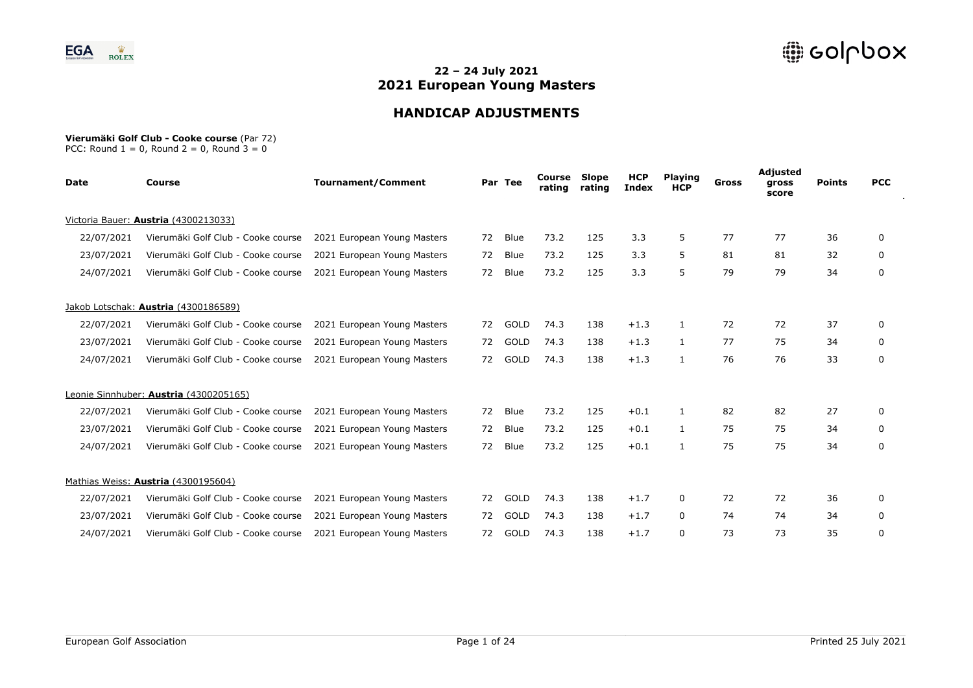

# **HANDICAP ADJUSTMENTS**

#### **Vierumäki Golf Club - Cooke course** (Par 72)

| Date       | Course                                 | <b>Tournament/Comment</b>   |    | Par Tee     | Course<br>rating | Slope<br>rating | <b>HCP</b><br><b>Index</b> | <b>Playing</b><br><b>HCP</b> | Gross | Adjusted<br>gross<br>score | <b>Points</b> | <b>PCC</b>   |
|------------|----------------------------------------|-----------------------------|----|-------------|------------------|-----------------|----------------------------|------------------------------|-------|----------------------------|---------------|--------------|
|            | Victoria Bauer: Austria (4300213033)   |                             |    |             |                  |                 |                            |                              |       |                            |               |              |
| 22/07/2021 | Vierumäki Golf Club - Cooke course     | 2021 European Young Masters | 72 | <b>Blue</b> | 73.2             | 125             | 3.3                        | 5                            | 77    | 77                         | 36            | 0            |
| 23/07/2021 | Vierumäki Golf Club - Cooke course     | 2021 European Young Masters | 72 | <b>Blue</b> | 73.2             | 125             | 3.3                        | 5                            | 81    | 81                         | 32            | 0            |
| 24/07/2021 | Vierumäki Golf Club - Cooke course     | 2021 European Young Masters | 72 | Blue        | 73.2             | 125             | 3.3                        | 5                            | 79    | 79                         | 34            | 0            |
|            | Jakob Lotschak: Austria (4300186589)   |                             |    |             |                  |                 |                            |                              |       |                            |               |              |
| 22/07/2021 | Vierumäki Golf Club - Cooke course     | 2021 European Young Masters | 72 | GOLD        | 74.3             | 138             | $+1.3$                     | 1                            | 72    | 72                         | 37            | 0            |
| 23/07/2021 | Vierumäki Golf Club - Cooke course     | 2021 European Young Masters | 72 | GOLD        | 74.3             | 138             | $+1.3$                     | $\mathbf{1}$                 | 77    | 75                         | 34            | 0            |
| 24/07/2021 | Vierumäki Golf Club - Cooke course     | 2021 European Young Masters | 72 | GOLD        | 74.3             | 138             | $+1.3$                     | 1                            | 76    | 76                         | 33            | 0            |
|            | Leonie Sinnhuber: Austria (4300205165) |                             |    |             |                  |                 |                            |                              |       |                            |               |              |
| 22/07/2021 | Vierumäki Golf Club - Cooke course     | 2021 European Young Masters | 72 | Blue        | 73.2             | 125             | $+0.1$                     | 1                            | 82    | 82                         | 27            | $\mathbf{0}$ |
| 23/07/2021 | Vierumäki Golf Club - Cooke course     | 2021 European Young Masters | 72 | <b>Blue</b> | 73.2             | 125             | $+0.1$                     | $\mathbf{1}$                 | 75    | 75                         | 34            | 0            |
| 24/07/2021 | Vierumäki Golf Club - Cooke course     | 2021 European Young Masters | 72 | Blue        | 73.2             | 125             | $+0.1$                     | 1                            | 75    | 75                         | 34            | 0            |
|            | Mathias Weiss: Austria (4300195604)    |                             |    |             |                  |                 |                            |                              |       |                            |               |              |
| 22/07/2021 | Vierumäki Golf Club - Cooke course     | 2021 European Young Masters | 72 | GOLD        | 74.3             | 138             | $+1.7$                     | 0                            | 72    | 72                         | 36            | 0            |
| 23/07/2021 | Vierumäki Golf Club - Cooke course     | 2021 European Young Masters | 72 | GOLD        | 74.3             | 138             | $+1.7$                     | 0                            | 74    | 74                         | 34            | 0            |
| 24/07/2021 | Vierumäki Golf Club - Cooke course     | 2021 European Young Masters | 72 | GOLD        | 74.3             | 138             | $+1.7$                     | 0                            | 73    | 73                         | 35            | 0            |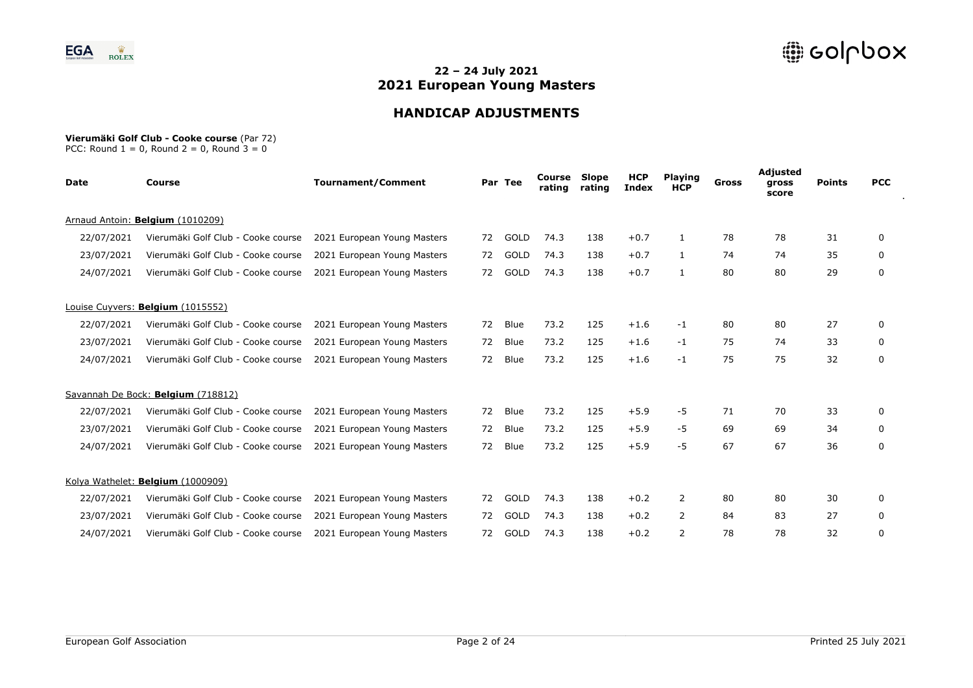

# **HANDICAP ADJUSTMENTS**

#### **Vierumäki Golf Club - Cooke course** (Par 72)

| <b>Date</b> | <b>Course</b>                      | <b>Tournament/Comment</b>   |    | Par Tee | Course<br>rating | Slope<br>rating | <b>HCP</b><br><b>Index</b> | <b>Playing</b><br><b>HCP</b> | Gross | Adjusted<br>gross<br>score | <b>Points</b> | <b>PCC</b> |
|-------------|------------------------------------|-----------------------------|----|---------|------------------|-----------------|----------------------------|------------------------------|-------|----------------------------|---------------|------------|
|             | Arnaud Antoin: Belgium (1010209)   |                             |    |         |                  |                 |                            |                              |       |                            |               |            |
| 22/07/2021  | Vierumäki Golf Club - Cooke course | 2021 European Young Masters | 72 | GOLD    | 74.3             | 138             | $+0.7$                     | 1                            | 78    | 78                         | 31            | 0          |
| 23/07/2021  | Vierumäki Golf Club - Cooke course | 2021 European Young Masters | 72 | GOLD    | 74.3             | 138             | $+0.7$                     | $\mathbf{1}$                 | 74    | 74                         | 35            | 0          |
| 24/07/2021  | Vierumäki Golf Club - Cooke course | 2021 European Young Masters | 72 | GOLD    | 74.3             | 138             | $+0.7$                     | $\mathbf{1}$                 | 80    | 80                         | 29            | 0          |
|             | Louise Cuyvers: Belgium (1015552)  |                             |    |         |                  |                 |                            |                              |       |                            |               |            |
| 22/07/2021  | Vierumäki Golf Club - Cooke course | 2021 European Young Masters | 72 | Blue    | 73.2             | 125             | $+1.6$                     | $-1$                         | 80    | 80                         | 27            | 0          |
| 23/07/2021  | Vierumäki Golf Club - Cooke course | 2021 European Young Masters | 72 | Blue    | 73.2             | 125             | $+1.6$                     | $-1$                         | 75    | 74                         | 33            | 0          |
| 24/07/2021  | Vierumäki Golf Club - Cooke course | 2021 European Young Masters | 72 | Blue    | 73.2             | 125             | $+1.6$                     | -1                           | 75    | 75                         | 32            | 0          |
|             | Savannah De Bock: Belgium (718812) |                             |    |         |                  |                 |                            |                              |       |                            |               |            |
| 22/07/2021  | Vierumäki Golf Club - Cooke course | 2021 European Young Masters | 72 | Blue    | 73.2             | 125             | $+5.9$                     | -5                           | 71    | 70                         | 33            | 0          |
| 23/07/2021  | Vierumäki Golf Club - Cooke course | 2021 European Young Masters | 72 | Blue    | 73.2             | 125             | $+5.9$                     | -5                           | 69    | 69                         | 34            | 0          |
| 24/07/2021  | Vierumäki Golf Club - Cooke course | 2021 European Young Masters | 72 | Blue    | 73.2             | 125             | $+5.9$                     | $-5$                         | 67    | 67                         | 36            | 0          |
|             | Kolya Wathelet: Belgium (1000909)  |                             |    |         |                  |                 |                            |                              |       |                            |               |            |
| 22/07/2021  | Vierumäki Golf Club - Cooke course | 2021 European Young Masters | 72 | GOLD    | 74.3             | 138             | $+0.2$                     | 2                            | 80    | 80                         | 30            | 0          |
| 23/07/2021  | Vierumäki Golf Club - Cooke course | 2021 European Young Masters | 72 | GOLD    | 74.3             | 138             | $+0.2$                     | 2                            | 84    | 83                         | 27            | 0          |
| 24/07/2021  | Vierumäki Golf Club - Cooke course | 2021 European Young Masters | 72 | GOLD    | 74.3             | 138             | $+0.2$                     | 2                            | 78    | 78                         | 32            | 0          |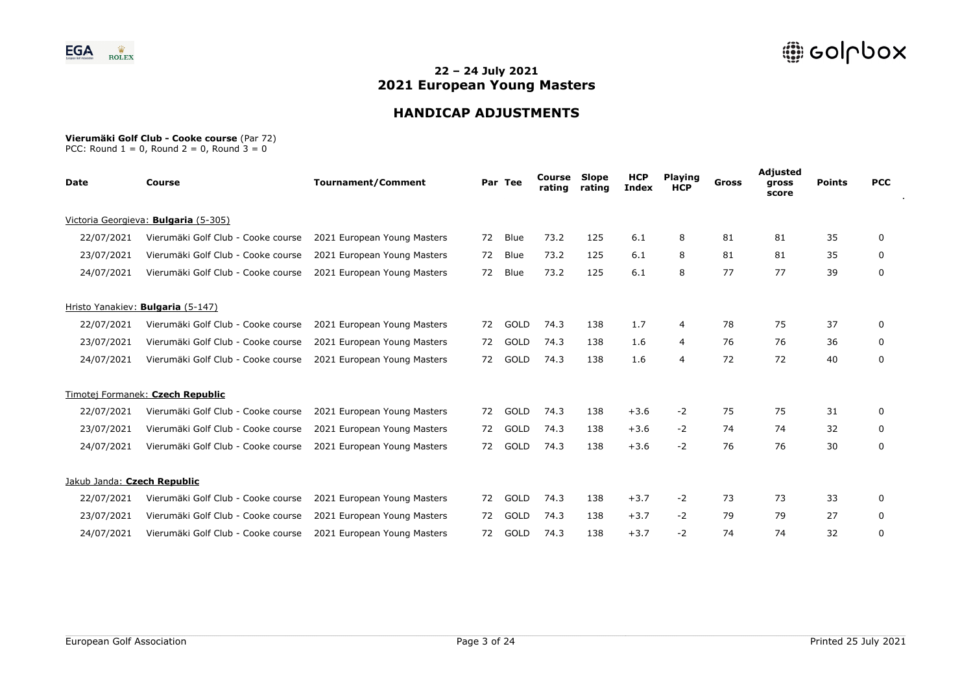

# **HANDICAP ADJUSTMENTS**

#### **Vierumäki Golf Club - Cooke course** (Par 72)

| <b>Date</b>                 | Course                               | <b>Tournament/Comment</b>   |    | Par Tee     | Course<br>rating | Slope<br>rating | <b>HCP</b><br><b>Index</b> | <b>Playing</b><br><b>HCP</b> | Gross | Adjusted<br>gross<br>score | <b>Points</b> | <b>PCC</b> |
|-----------------------------|--------------------------------------|-----------------------------|----|-------------|------------------|-----------------|----------------------------|------------------------------|-------|----------------------------|---------------|------------|
|                             | Victoria Georgieva: Bulgaria (5-305) |                             |    |             |                  |                 |                            |                              |       |                            |               |            |
| 22/07/2021                  | Vierumäki Golf Club - Cooke course   | 2021 European Young Masters | 72 | Blue        | 73.2             | 125             | 6.1                        | 8                            | 81    | 81                         | 35            | 0          |
| 23/07/2021                  | Vierumäki Golf Club - Cooke course   | 2021 European Young Masters | 72 | Blue        | 73.2             | 125             | 6.1                        | 8                            | 81    | 81                         | 35            | 0          |
| 24/07/2021                  | Vierumäki Golf Club - Cooke course   | 2021 European Young Masters | 72 | Blue        | 73.2             | 125             | 6.1                        | 8                            | 77    | 77                         | 39            | 0          |
|                             | Hristo Yanakiev: Bulgaria (5-147)    |                             |    |             |                  |                 |                            |                              |       |                            |               |            |
| 22/07/2021                  | Vierumäki Golf Club - Cooke course   | 2021 European Young Masters | 72 | GOLD        | 74.3             | 138             | 1.7                        | 4                            | 78    | 75                         | 37            | 0          |
| 23/07/2021                  | Vierumäki Golf Club - Cooke course   | 2021 European Young Masters | 72 | GOLD        | 74.3             | 138             | 1.6                        | 4                            | 76    | 76                         | 36            | 0          |
| 24/07/2021                  | Vierumäki Golf Club - Cooke course   | 2021 European Young Masters | 72 | GOLD        | 74.3             | 138             | 1.6                        | 4                            | 72    | 72                         | 40            | 0          |
|                             | Timotej Formanek: Czech Republic     |                             |    |             |                  |                 |                            |                              |       |                            |               |            |
| 22/07/2021                  | Vierumäki Golf Club - Cooke course   | 2021 European Young Masters | 72 | GOLD        | 74.3             | 138             | $+3.6$                     | $-2$                         | 75    | 75                         | 31            | 0          |
| 23/07/2021                  | Vierumäki Golf Club - Cooke course   | 2021 European Young Masters | 72 | GOLD        | 74.3             | 138             | $+3.6$                     | $-2$                         | 74    | 74                         | 32            | 0          |
| 24/07/2021                  | Vierumäki Golf Club - Cooke course   | 2021 European Young Masters | 72 | <b>GOLD</b> | 74.3             | 138             | $+3.6$                     | $-2$                         | 76    | 76                         | 30            | 0          |
| Jakub Janda: Czech Republic |                                      |                             |    |             |                  |                 |                            |                              |       |                            |               |            |
| 22/07/2021                  | Vierumäki Golf Club - Cooke course   | 2021 European Young Masters | 72 | GOLD        | 74.3             | 138             | $+3.7$                     | $-2$                         | 73    | 73                         | 33            | 0          |
| 23/07/2021                  | Vierumäki Golf Club - Cooke course   | 2021 European Young Masters | 72 | GOLD        | 74.3             | 138             | $+3.7$                     | $-2$                         | 79    | 79                         | 27            | 0          |
| 24/07/2021                  | Vierumäki Golf Club - Cooke course   | 2021 European Young Masters | 72 | GOLD        | 74.3             | 138             | $+3.7$                     | -2                           | 74    | 74                         | 32            | 0          |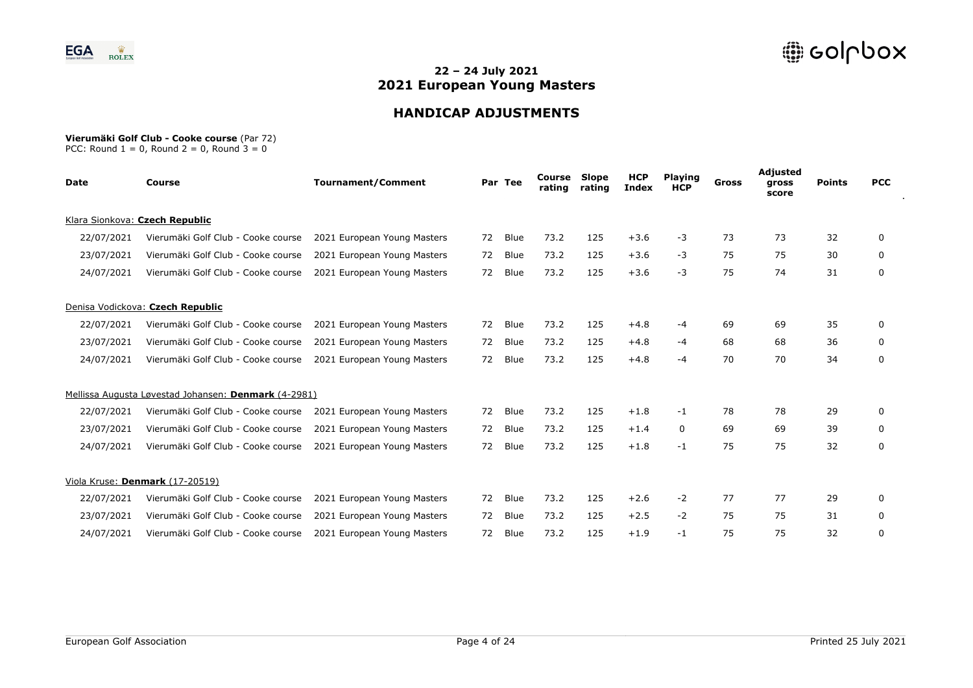

# **HANDICAP ADJUSTMENTS**

#### **Vierumäki Golf Club - Cooke course** (Par 72)

| Date       | <b>Course</b>                                        | <b>Tournament/Comment</b>   |    | Par Tee | Course<br>rating | Slope<br>rating | <b>HCP</b><br><b>Index</b> | <b>Playing</b><br><b>HCP</b> | Gross | Adjusted<br>gross<br>score | <b>Points</b> | <b>PCC</b>   |
|------------|------------------------------------------------------|-----------------------------|----|---------|------------------|-----------------|----------------------------|------------------------------|-------|----------------------------|---------------|--------------|
|            | Klara Sionkova: Czech Republic                       |                             |    |         |                  |                 |                            |                              |       |                            |               |              |
| 22/07/2021 | Vierumäki Golf Club - Cooke course                   | 2021 European Young Masters | 72 | Blue    | 73.2             | 125             | $+3.6$                     | -3                           | 73    | 73                         | 32            | 0            |
| 23/07/2021 | Vierumäki Golf Club - Cooke course                   | 2021 European Young Masters | 72 | Blue    | 73.2             | 125             | $+3.6$                     | $-3$                         | 75    | 75                         | 30            | 0            |
| 24/07/2021 | Vierumäki Golf Club - Cooke course                   | 2021 European Young Masters | 72 | Blue    | 73.2             | 125             | $+3.6$                     | $-3$                         | 75    | 74                         | 31            | 0            |
|            | Denisa Vodickova: Czech Republic                     |                             |    |         |                  |                 |                            |                              |       |                            |               |              |
| 22/07/2021 | Vierumäki Golf Club - Cooke course                   | 2021 European Young Masters | 72 | Blue    | 73.2             | 125             | $+4.8$                     | -4                           | 69    | 69                         | 35            | 0            |
| 23/07/2021 | Vierumäki Golf Club - Cooke course                   | 2021 European Young Masters | 72 | Blue    | 73.2             | 125             | $+4.8$                     | -4                           | 68    | 68                         | 36            | 0            |
| 24/07/2021 | Vierumäki Golf Club - Cooke course                   | 2021 European Young Masters | 72 | Blue    | 73.2             | 125             | $+4.8$                     | -4                           | 70    | 70                         | 34            | 0            |
|            | Mellissa Augusta Løvestad Johansen: Denmark (4-2981) |                             |    |         |                  |                 |                            |                              |       |                            |               |              |
| 22/07/2021 | Vierumäki Golf Club - Cooke course                   | 2021 European Young Masters | 72 | Blue    | 73.2             | 125             | $+1.8$                     | $-1$                         | 78    | 78                         | 29            | $\mathbf{0}$ |
| 23/07/2021 | Vierumäki Golf Club - Cooke course                   | 2021 European Young Masters | 72 | Blue    | 73.2             | 125             | $+1.4$                     | 0                            | 69    | 69                         | 39            | 0            |
| 24/07/2021 | Vierumäki Golf Club - Cooke course                   | 2021 European Young Masters | 72 | Blue    | 73.2             | 125             | $+1.8$                     | $-1$                         | 75    | 75                         | 32            | 0            |
|            | Viola Kruse: Denmark (17-20519)                      |                             |    |         |                  |                 |                            |                              |       |                            |               |              |
| 22/07/2021 | Vierumäki Golf Club - Cooke course                   | 2021 European Young Masters | 72 | Blue    | 73.2             | 125             | $+2.6$                     | $-2$                         | 77    | 77                         | 29            | 0            |
| 23/07/2021 | Vierumäki Golf Club - Cooke course                   | 2021 European Young Masters | 72 | Blue    | 73.2             | 125             | $+2.5$                     | $-2$                         | 75    | 75                         | 31            | 0            |
| 24/07/2021 | Vierumäki Golf Club - Cooke course                   | 2021 European Young Masters | 72 | Blue    | 73.2             | 125             | $+1.9$                     | $-1$                         | 75    | 75                         | 32            | 0            |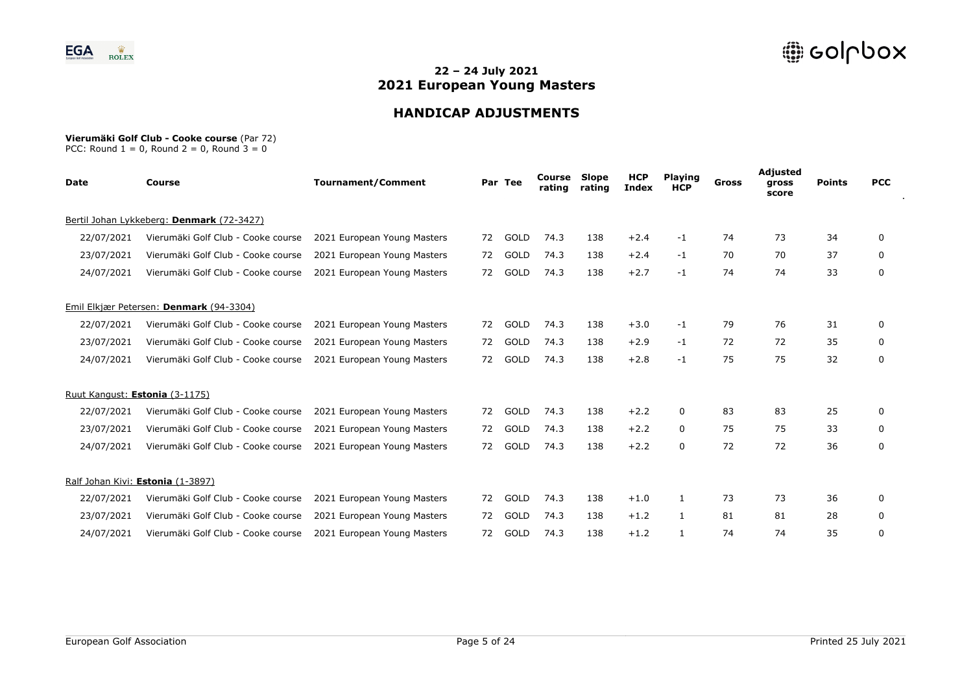

# **HANDICAP ADJUSTMENTS**

#### **Vierumäki Golf Club - Cooke course** (Par 72)

| <b>Date</b> | <b>Course</b>                             | <b>Tournament/Comment</b>   |    | Par Tee | Course<br>rating | Slope<br>rating | <b>HCP</b><br><b>Index</b> | <b>Playing</b><br><b>HCP</b> | Gross | Adjusted<br>gross<br>score | <b>Points</b> | <b>PCC</b> |
|-------------|-------------------------------------------|-----------------------------|----|---------|------------------|-----------------|----------------------------|------------------------------|-------|----------------------------|---------------|------------|
|             | Bertil Johan Lykkeberg: Denmark (72-3427) |                             |    |         |                  |                 |                            |                              |       |                            |               |            |
| 22/07/2021  | Vierumäki Golf Club - Cooke course        | 2021 European Young Masters | 72 | GOLD    | 74.3             | 138             | $+2.4$                     | $-1$                         | 74    | 73                         | 34            | 0          |
| 23/07/2021  | Vierumäki Golf Club - Cooke course        | 2021 European Young Masters | 72 | GOLD    | 74.3             | 138             | $+2.4$                     | $-1$                         | 70    | 70                         | 37            | 0          |
| 24/07/2021  | Vierumäki Golf Club - Cooke course        | 2021 European Young Masters | 72 | GOLD    | 74.3             | 138             | $+2.7$                     | $-1$                         | 74    | 74                         | 33            | $\Omega$   |
|             | Emil Elkjær Petersen: Denmark (94-3304)   |                             |    |         |                  |                 |                            |                              |       |                            |               |            |
| 22/07/2021  | Vierumäki Golf Club - Cooke course        | 2021 European Young Masters | 72 | GOLD    | 74.3             | 138             | $+3.0$                     | -1                           | 79    | 76                         | 31            | 0          |
| 23/07/2021  | Vierumäki Golf Club - Cooke course        | 2021 European Young Masters | 72 | GOLD    | 74.3             | 138             | $+2.9$                     | $-1$                         | 72    | 72                         | 35            | 0          |
| 24/07/2021  | Vierumäki Golf Club - Cooke course        | 2021 European Young Masters | 72 | GOLD    | 74.3             | 138             | $+2.8$                     | $-1$                         | 75    | 75                         | 32            | 0          |
|             | Ruut Kangust: Estonia (3-1175)            |                             |    |         |                  |                 |                            |                              |       |                            |               |            |
| 22/07/2021  | Vierumäki Golf Club - Cooke course        | 2021 European Young Masters | 72 | GOLD    | 74.3             | 138             | $+2.2$                     | 0                            | 83    | 83                         | 25            | 0          |
| 23/07/2021  | Vierumäki Golf Club - Cooke course        | 2021 European Young Masters | 72 | GOLD    | 74.3             | 138             | $+2.2$                     | 0                            | 75    | 75                         | 33            | 0          |
| 24/07/2021  | Vierumäki Golf Club - Cooke course        | 2021 European Young Masters | 72 | GOLD    | 74.3             | 138             | $+2.2$                     | $\Omega$                     | 72    | 72                         | 36            | 0          |
|             | Ralf Johan Kivi: Estonia (1-3897)         |                             |    |         |                  |                 |                            |                              |       |                            |               |            |
| 22/07/2021  | Vierumäki Golf Club - Cooke course        | 2021 European Young Masters | 72 | GOLD    | 74.3             | 138             | $+1.0$                     |                              | 73    | 73                         | 36            | 0          |
| 23/07/2021  | Vierumäki Golf Club - Cooke course        | 2021 European Young Masters | 72 | GOLD    | 74.3             | 138             | $+1.2$                     | $\mathbf{1}$                 | 81    | 81                         | 28            | 0          |
| 24/07/2021  | Vierumäki Golf Club - Cooke course        | 2021 European Young Masters | 72 | GOLD    | 74.3             | 138             | $+1.2$                     |                              | 74    | 74                         | 35            | 0          |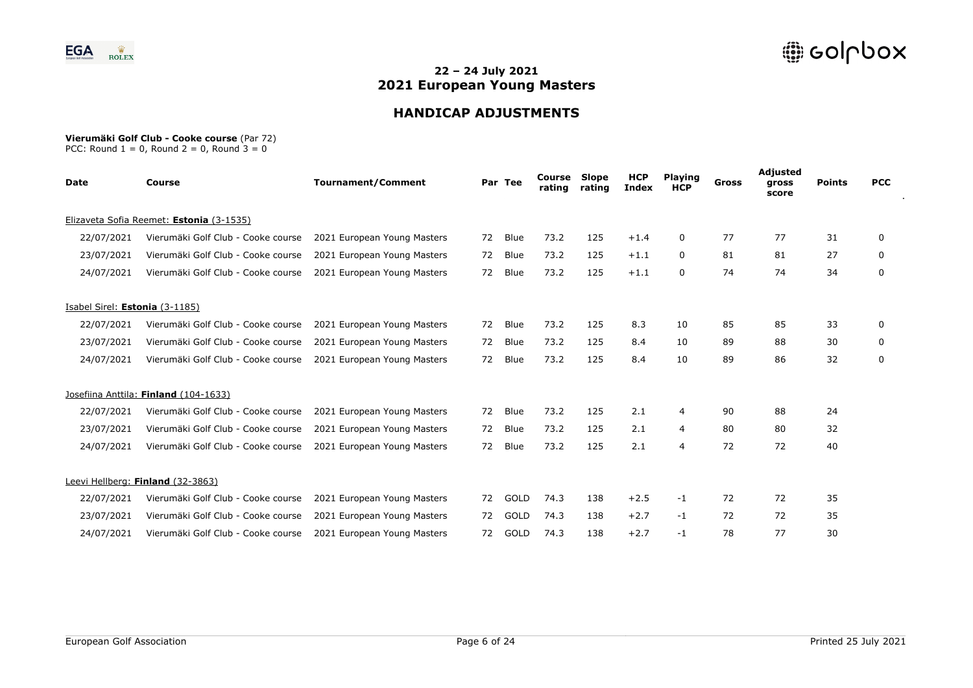

# **HANDICAP ADJUSTMENTS**

#### **Vierumäki Golf Club - Cooke course** (Par 72)

| <b>Date</b>                    | <b>Course</b>                            | <b>Tournament/Comment</b>   |    | Par Tee     | Course<br>rating | Slope<br>rating | <b>HCP</b><br><b>Index</b> | <b>Playing</b><br><b>HCP</b> | <b>Gross</b> | Adjusted<br>gross<br>score | <b>Points</b> | <b>PCC</b> |
|--------------------------------|------------------------------------------|-----------------------------|----|-------------|------------------|-----------------|----------------------------|------------------------------|--------------|----------------------------|---------------|------------|
|                                | Elizaveta Sofia Reemet: Estonia (3-1535) |                             |    |             |                  |                 |                            |                              |              |                            |               |            |
| 22/07/2021                     | Vierumäki Golf Club - Cooke course       | 2021 European Young Masters | 72 | <b>Blue</b> | 73.2             | 125             | $+1.4$                     | 0                            | 77           | 77                         | 31            | 0          |
| 23/07/2021                     | Vierumäki Golf Club - Cooke course       | 2021 European Young Masters | 72 | <b>Blue</b> | 73.2             | 125             | $+1.1$                     | 0                            | 81           | 81                         | 27            | 0          |
| 24/07/2021                     | Vierumäki Golf Club - Cooke course       | 2021 European Young Masters | 72 | Blue        | 73.2             | 125             | $+1.1$                     | $\mathbf 0$                  | 74           | 74                         | 34            | 0          |
| Isabel Sirel: Estonia (3-1185) |                                          |                             |    |             |                  |                 |                            |                              |              |                            |               |            |
| 22/07/2021                     | Vierumäki Golf Club - Cooke course       | 2021 European Young Masters | 72 | <b>Blue</b> | 73.2             | 125             | 8.3                        | 10                           | 85           | 85                         | 33            | 0          |
| 23/07/2021                     | Vierumäki Golf Club - Cooke course       | 2021 European Young Masters | 72 | Blue        | 73.2             | 125             | 8.4                        | 10                           | 89           | 88                         | 30            | 0          |
| 24/07/2021                     | Vierumäki Golf Club - Cooke course       | 2021 European Young Masters | 72 | Blue        | 73.2             | 125             | 8.4                        | 10                           | 89           | 86                         | 32            | 0          |
|                                | Josefiina Anttila: Finland (104-1633)    |                             |    |             |                  |                 |                            |                              |              |                            |               |            |
| 22/07/2021                     | Vierumäki Golf Club - Cooke course       | 2021 European Young Masters | 72 | <b>Blue</b> | 73.2             | 125             | 2.1                        | $\overline{4}$               | 90           | 88                         | 24            |            |
| 23/07/2021                     | Vierumäki Golf Club - Cooke course       | 2021 European Young Masters | 72 | <b>Blue</b> | 73.2             | 125             | 2.1                        | 4                            | 80           | 80                         | 32            |            |
| 24/07/2021                     | Vierumäki Golf Club - Cooke course       | 2021 European Young Masters | 72 | Blue        | 73.2             | 125             | 2.1                        | $\overline{4}$               | 72           | 72                         | 40            |            |
|                                | Leevi Hellberg: Finland (32-3863)        |                             |    |             |                  |                 |                            |                              |              |                            |               |            |
| 22/07/2021                     | Vierumäki Golf Club - Cooke course       | 2021 European Young Masters | 72 | GOLD        | 74.3             | 138             | $+2.5$                     | -1                           | 72           | 72                         | 35            |            |
| 23/07/2021                     | Vierumäki Golf Club - Cooke course       | 2021 European Young Masters | 72 | GOLD        | 74.3             | 138             | $+2.7$                     | -1                           | 72           | 72                         | 35            |            |
| 24/07/2021                     | Vierumäki Golf Club - Cooke course       | 2021 European Young Masters | 72 | GOLD        | 74.3             | 138             | $+2.7$                     | -1                           | 78           | 77                         | 30            |            |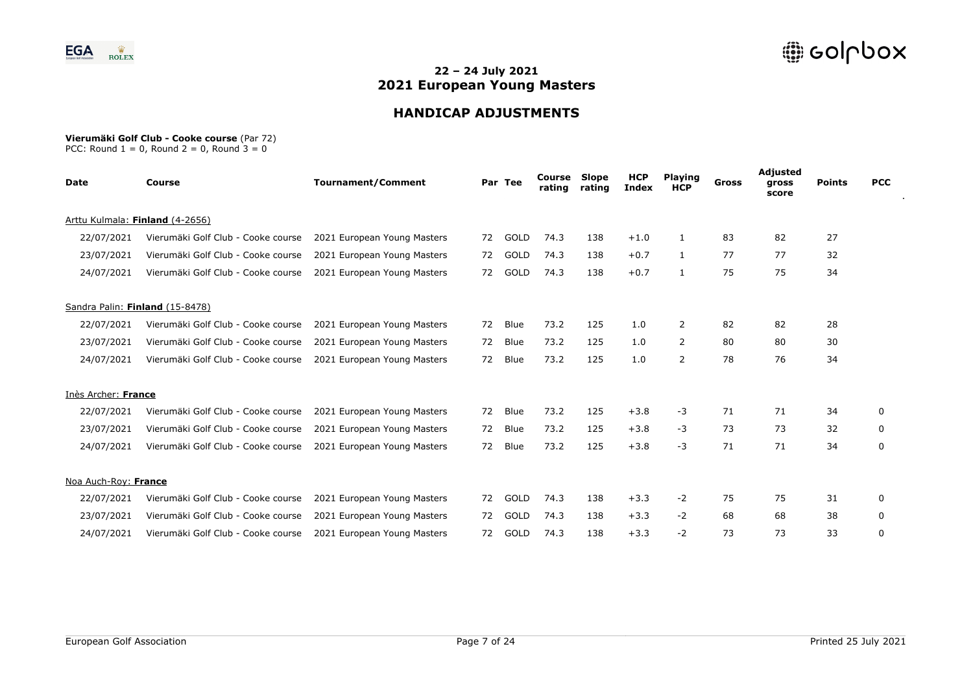

# **HANDICAP ADJUSTMENTS**

#### **Vierumäki Golf Club - Cooke course** (Par 72)

| <b>Date</b>          | <b>Course</b>                      | <b>Tournament/Comment</b>   |    | Par Tee     | Course<br>rating | Slope<br>rating | <b>HCP</b><br><b>Index</b> | <b>Playing</b><br><b>HCP</b> | <b>Gross</b> | <b>Adjusted</b><br>gross<br>score | <b>Points</b> | <b>PCC</b> |
|----------------------|------------------------------------|-----------------------------|----|-------------|------------------|-----------------|----------------------------|------------------------------|--------------|-----------------------------------|---------------|------------|
|                      | Arttu Kulmala: Finland (4-2656)    |                             |    |             |                  |                 |                            |                              |              |                                   |               |            |
| 22/07/2021           | Vierumäki Golf Club - Cooke course | 2021 European Young Masters | 72 | GOLD        | 74.3             | 138             | $+1.0$                     | 1                            | 83           | 82                                | 27            |            |
| 23/07/2021           | Vierumäki Golf Club - Cooke course | 2021 European Young Masters | 72 | GOLD        | 74.3             | 138             | $+0.7$                     | 1                            | 77           | 77                                | 32            |            |
| 24/07/2021           | Vierumäki Golf Club - Cooke course | 2021 European Young Masters | 72 | GOLD        | 74.3             | 138             | $+0.7$                     | 1                            | 75           | 75                                | 34            |            |
|                      | Sandra Palin: Finland (15-8478)    |                             |    |             |                  |                 |                            |                              |              |                                   |               |            |
| 22/07/2021           | Vierumäki Golf Club - Cooke course | 2021 European Young Masters | 72 | <b>Blue</b> | 73.2             | 125             | 1.0                        | 2                            | 82           | 82                                | 28            |            |
| 23/07/2021           | Vierumäki Golf Club - Cooke course | 2021 European Young Masters | 72 | Blue        | 73.2             | 125             | 1.0                        | 2                            | 80           | 80                                | 30            |            |
| 24/07/2021           | Vierumäki Golf Club - Cooke course | 2021 European Young Masters | 72 | Blue        | 73.2             | 125             | 1.0                        | 2                            | 78           | 76                                | 34            |            |
| Inès Archer: France  |                                    |                             |    |             |                  |                 |                            |                              |              |                                   |               |            |
| 22/07/2021           | Vierumäki Golf Club - Cooke course | 2021 European Young Masters | 72 | Blue        | 73.2             | 125             | $+3.8$                     | $-3$                         | 71           | 71                                | 34            | 0          |
| 23/07/2021           | Vierumäki Golf Club - Cooke course | 2021 European Young Masters | 72 | Blue        | 73.2             | 125             | $+3.8$                     | $-3$                         | 73           | 73                                | 32            | 0          |
| 24/07/2021           | Vierumäki Golf Club - Cooke course | 2021 European Young Masters | 72 | Blue        | 73.2             | 125             | $+3.8$                     | $-3$                         | 71           | 71                                | 34            | 0          |
| Noa Auch-Roy: France |                                    |                             |    |             |                  |                 |                            |                              |              |                                   |               |            |
| 22/07/2021           | Vierumäki Golf Club - Cooke course | 2021 European Young Masters | 72 | GOLD        | 74.3             | 138             | $+3.3$                     | $-2$                         | 75           | 75                                | 31            | 0          |
| 23/07/2021           | Vierumäki Golf Club - Cooke course | 2021 European Young Masters | 72 | GOLD        | 74.3             | 138             | $+3.3$                     | $-2$                         | 68           | 68                                | 38            | 0          |
| 24/07/2021           | Vierumäki Golf Club - Cooke course | 2021 European Young Masters | 72 | GOLD        | 74.3             | 138             | $+3.3$                     | $-2$                         | 73           | 73                                | 33            | 0          |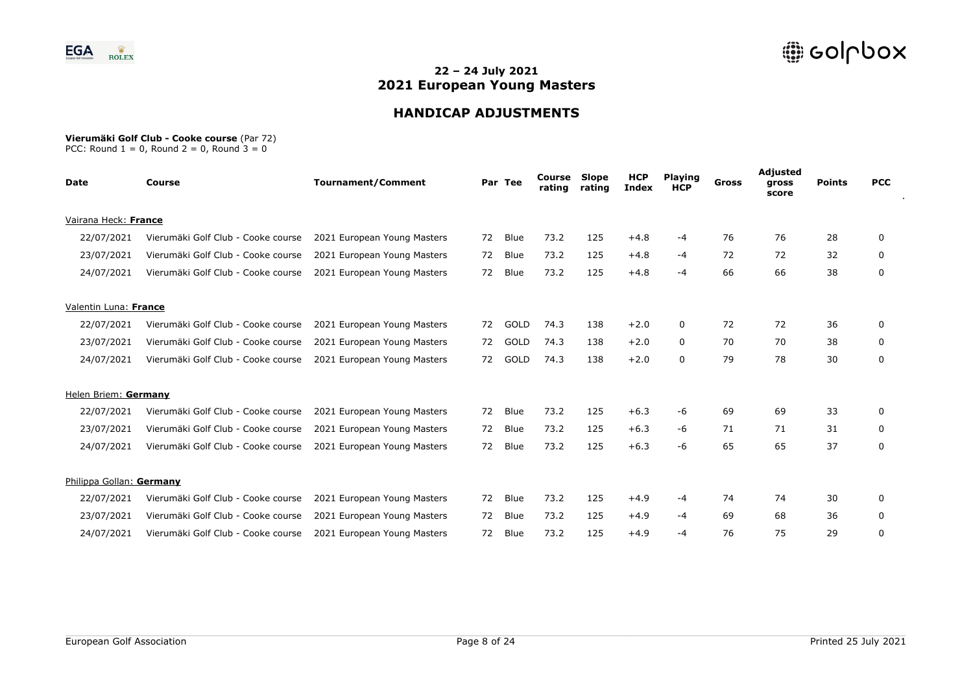

# **HANDICAP ADJUSTMENTS**

#### **Vierumäki Golf Club - Cooke course** (Par 72)

| Date                     | <b>Course</b>                      | <b>Tournament/Comment</b>   |    | Par Tee     | Course<br>rating | Slope<br>rating | <b>HCP</b><br><b>Index</b> | <b>Playing</b><br><b>HCP</b> | Gross | Adjusted<br>gross<br>score | <b>Points</b> | <b>PCC</b>   |
|--------------------------|------------------------------------|-----------------------------|----|-------------|------------------|-----------------|----------------------------|------------------------------|-------|----------------------------|---------------|--------------|
| Vairana Heck: France     |                                    |                             |    |             |                  |                 |                            |                              |       |                            |               |              |
| 22/07/2021               | Vierumäki Golf Club - Cooke course | 2021 European Young Masters | 72 | Blue        | 73.2             | 125             | $+4.8$                     | -4                           | 76    | 76                         | 28            | 0            |
| 23/07/2021               | Vierumäki Golf Club - Cooke course | 2021 European Young Masters | 72 | Blue        | 73.2             | 125             | $+4.8$                     | -4                           | 72    | 72                         | 32            | 0            |
| 24/07/2021               | Vierumäki Golf Club - Cooke course | 2021 European Young Masters | 72 | Blue        | 73.2             | 125             | $+4.8$                     | $-4$                         | 66    | 66                         | 38            | 0            |
| Valentin Luna: France    |                                    |                             |    |             |                  |                 |                            |                              |       |                            |               |              |
| 22/07/2021               | Vierumäki Golf Club - Cooke course | 2021 European Young Masters | 72 | GOLD        | 74.3             | 138             | $+2.0$                     | 0                            | 72    | 72                         | 36            | 0            |
| 23/07/2021               | Vierumäki Golf Club - Cooke course | 2021 European Young Masters | 72 | GOLD        | 74.3             | 138             | $+2.0$                     | 0                            | 70    | 70                         | 38            | 0            |
| 24/07/2021               | Vierumäki Golf Club - Cooke course | 2021 European Young Masters | 72 | GOLD        | 74.3             | 138             | $+2.0$                     | 0                            | 79    | 78                         | 30            | 0            |
| Helen Briem: Germany     |                                    |                             |    |             |                  |                 |                            |                              |       |                            |               |              |
| 22/07/2021               | Vierumäki Golf Club - Cooke course | 2021 European Young Masters | 72 | Blue        | 73.2             | 125             | $+6.3$                     | -6                           | 69    | 69                         | 33            | $\mathbf{0}$ |
| 23/07/2021               | Vierumäki Golf Club - Cooke course | 2021 European Young Masters | 72 | Blue        | 73.2             | 125             | $+6.3$                     | -6                           | 71    | 71                         | 31            | 0            |
| 24/07/2021               | Vierumäki Golf Club - Cooke course | 2021 European Young Masters | 72 | Blue        | 73.2             | 125             | $+6.3$                     | -6                           | 65    | 65                         | 37            | 0            |
| Philippa Gollan: Germany |                                    |                             |    |             |                  |                 |                            |                              |       |                            |               |              |
| 22/07/2021               | Vierumäki Golf Club - Cooke course | 2021 European Young Masters | 72 | <b>Blue</b> | 73.2             | 125             | $+4.9$                     | -4                           | 74    | 74                         | 30            | 0            |
| 23/07/2021               | Vierumäki Golf Club - Cooke course | 2021 European Young Masters | 72 | Blue        | 73.2             | 125             | $+4.9$                     | -4                           | 69    | 68                         | 36            | 0            |
| 24/07/2021               | Vierumäki Golf Club - Cooke course | 2021 European Young Masters | 72 | Blue        | 73.2             | 125             | $+4.9$                     | $-4$                         | 76    | 75                         | 29            | 0            |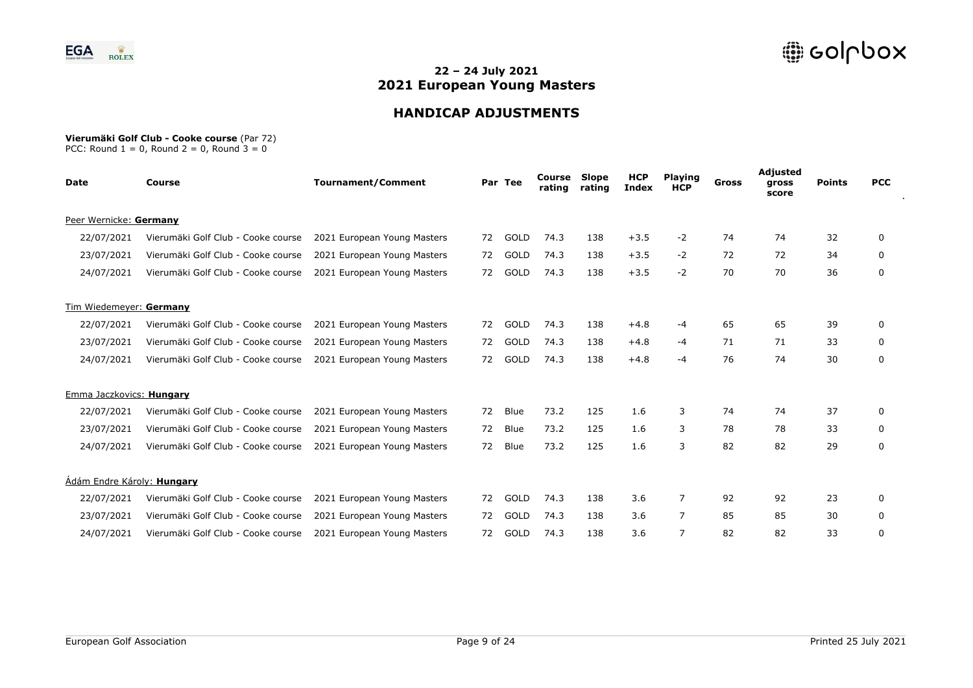

# **HANDICAP ADJUSTMENTS**

#### **Vierumäki Golf Club - Cooke course** (Par 72)

| Date                       | <b>Course</b>                      | <b>Tournament/Comment</b>   |    | Par Tee | Course<br>rating | Slope<br>rating | <b>HCP</b><br><b>Index</b> | <b>Playing</b><br><b>HCP</b> | Gross | Adjusted<br>gross<br>score | <b>Points</b> | <b>PCC</b>   |
|----------------------------|------------------------------------|-----------------------------|----|---------|------------------|-----------------|----------------------------|------------------------------|-------|----------------------------|---------------|--------------|
| Peer Wernicke: Germany     |                                    |                             |    |         |                  |                 |                            |                              |       |                            |               |              |
| 22/07/2021                 | Vierumäki Golf Club - Cooke course | 2021 European Young Masters | 72 | GOLD    | 74.3             | 138             | $+3.5$                     | $-2$                         | 74    | 74                         | 32            | 0            |
| 23/07/2021                 | Vierumäki Golf Club - Cooke course | 2021 European Young Masters | 72 | GOLD    | 74.3             | 138             | $+3.5$                     | $-2$                         | 72    | 72                         | 34            | 0            |
| 24/07/2021                 | Vierumäki Golf Club - Cooke course | 2021 European Young Masters | 72 | GOLD    | 74.3             | 138             | $+3.5$                     | $-2$                         | 70    | 70                         | 36            | 0            |
| Tim Wiedemeyer: Germany    |                                    |                             |    |         |                  |                 |                            |                              |       |                            |               |              |
| 22/07/2021                 | Vierumäki Golf Club - Cooke course | 2021 European Young Masters | 72 | GOLD    | 74.3             | 138             | $+4.8$                     | -4                           | 65    | 65                         | 39            | 0            |
| 23/07/2021                 | Vierumäki Golf Club - Cooke course | 2021 European Young Masters | 72 | GOLD    | 74.3             | 138             | $+4.8$                     | -4                           | 71    | 71                         | 33            | 0            |
| 24/07/2021                 | Vierumäki Golf Club - Cooke course | 2021 European Young Masters | 72 | GOLD    | 74.3             | 138             | $+4.8$                     | -4                           | 76    | 74                         | 30            | 0            |
| Emma Jaczkovics: Hungary   |                                    |                             |    |         |                  |                 |                            |                              |       |                            |               |              |
| 22/07/2021                 | Vierumäki Golf Club - Cooke course | 2021 European Young Masters | 72 | Blue    | 73.2             | 125             | 1.6                        | 3                            | 74    | 74                         | 37            | $\mathbf{0}$ |
| 23/07/2021                 | Vierumäki Golf Club - Cooke course | 2021 European Young Masters | 72 | Blue    | 73.2             | 125             | 1.6                        | 3                            | 78    | 78                         | 33            | 0            |
| 24/07/2021                 | Vierumäki Golf Club - Cooke course | 2021 European Young Masters | 72 | Blue    | 73.2             | 125             | 1.6                        | 3                            | 82    | 82                         | 29            | 0            |
| Ádám Endre Károly: Hungary |                                    |                             |    |         |                  |                 |                            |                              |       |                            |               |              |
| 22/07/2021                 | Vierumäki Golf Club - Cooke course | 2021 European Young Masters | 72 | GOLD    | 74.3             | 138             | 3.6                        | 7                            | 92    | 92                         | 23            | 0            |
| 23/07/2021                 | Vierumäki Golf Club - Cooke course | 2021 European Young Masters | 72 | GOLD    | 74.3             | 138             | 3.6                        | 7                            | 85    | 85                         | 30            | 0            |
| 24/07/2021                 | Vierumäki Golf Club - Cooke course | 2021 European Young Masters | 72 | GOLD    | 74.3             | 138             | 3.6                        | 7                            | 82    | 82                         | 33            | 0            |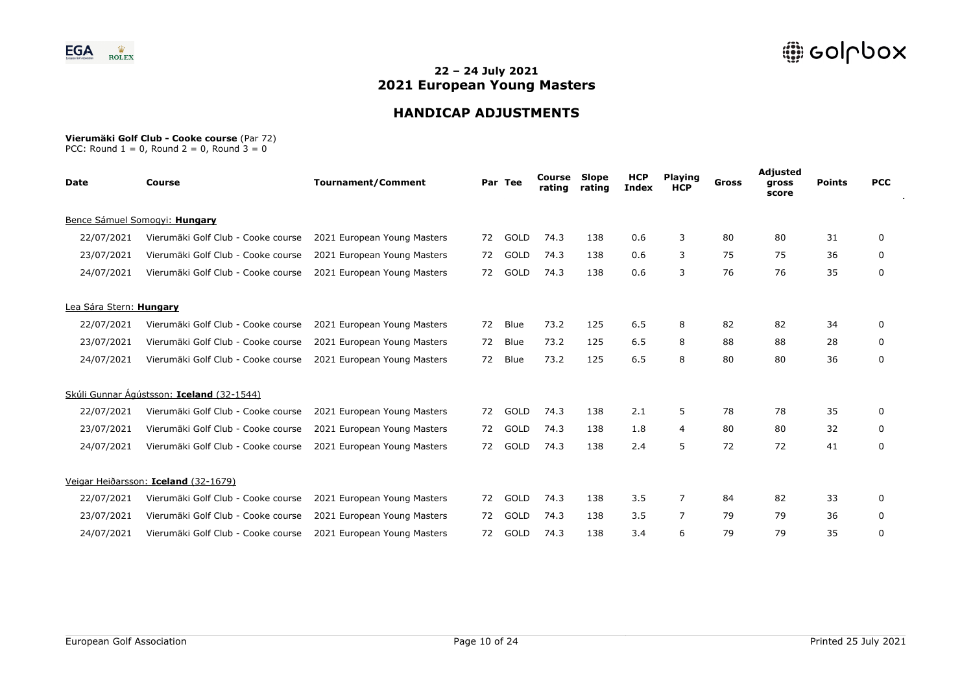

# **HANDICAP ADJUSTMENTS**

#### **Vierumäki Golf Club - Cooke course** (Par 72)

| <b>Date</b>             | <b>Course</b>                             | <b>Tournament/Comment</b>   |    | Par Tee | Course<br>rating | <b>Slope</b><br>rating | <b>HCP</b><br><b>Index</b> | <b>Playing</b><br><b>HCP</b> | Gross | Adjusted<br>gross<br>score | <b>Points</b> | <b>PCC</b> |
|-------------------------|-------------------------------------------|-----------------------------|----|---------|------------------|------------------------|----------------------------|------------------------------|-------|----------------------------|---------------|------------|
|                         | Bence Sámuel Somogyi: Hungary             |                             |    |         |                  |                        |                            |                              |       |                            |               |            |
| 22/07/2021              | Vierumäki Golf Club - Cooke course        | 2021 European Young Masters | 72 | GOLD    | 74.3             | 138                    | 0.6                        | 3                            | 80    | 80                         | 31            | 0          |
| 23/07/2021              | Vierumäki Golf Club - Cooke course        | 2021 European Young Masters | 72 | GOLD    | 74.3             | 138                    | 0.6                        | 3                            | 75    | 75                         | 36            | 0          |
| 24/07/2021              | Vierumäki Golf Club - Cooke course        | 2021 European Young Masters | 72 | GOLD    | 74.3             | 138                    | 0.6                        | 3                            | 76    | 76                         | 35            | 0          |
| Lea Sára Stern: Hungary |                                           |                             |    |         |                  |                        |                            |                              |       |                            |               |            |
| 22/07/2021              | Vierumäki Golf Club - Cooke course        | 2021 European Young Masters | 72 | Blue    | 73.2             | 125                    | 6.5                        | 8                            | 82    | 82                         | 34            | 0          |
| 23/07/2021              | Vierumäki Golf Club - Cooke course        | 2021 European Young Masters | 72 | Blue    | 73.2             | 125                    | 6.5                        | 8                            | 88    | 88                         | 28            | 0          |
| 24/07/2021              | Vierumäki Golf Club - Cooke course        | 2021 European Young Masters | 72 | Blue    | 73.2             | 125                    | 6.5                        | 8                            | 80    | 80                         | 36            | 0          |
|                         | Skúli Gunnar Ágústsson: Iceland (32-1544) |                             |    |         |                  |                        |                            |                              |       |                            |               |            |
| 22/07/2021              | Vierumäki Golf Club - Cooke course        | 2021 European Young Masters | 72 | GOLD    | 74.3             | 138                    | 2.1                        | 5                            | 78    | 78                         | 35            | 0          |
| 23/07/2021              | Vierumäki Golf Club - Cooke course        | 2021 European Young Masters | 72 | GOLD    | 74.3             | 138                    | 1.8                        | 4                            | 80    | 80                         | 32            | 0          |
| 24/07/2021              | Vierumäki Golf Club - Cooke course        | 2021 European Young Masters | 72 | GOLD    | 74.3             | 138                    | 2.4                        | 5                            | 72    | 72                         | 41            | 0          |
|                         | Veigar Heiðarsson: Iceland (32-1679)      |                             |    |         |                  |                        |                            |                              |       |                            |               |            |
| 22/07/2021              | Vierumäki Golf Club - Cooke course        | 2021 European Young Masters | 72 | GOLD    | 74.3             | 138                    | 3.5                        | $\overline{7}$               | 84    | 82                         | 33            | 0          |
| 23/07/2021              | Vierumäki Golf Club - Cooke course        | 2021 European Young Masters | 72 | GOLD    | 74.3             | 138                    | 3.5                        | 7                            | 79    | 79                         | 36            | 0          |
| 24/07/2021              | Vierumäki Golf Club - Cooke course        | 2021 European Young Masters | 72 | GOLD    | 74.3             | 138                    | 3.4                        | 6                            | 79    | 79                         | 35            | 0          |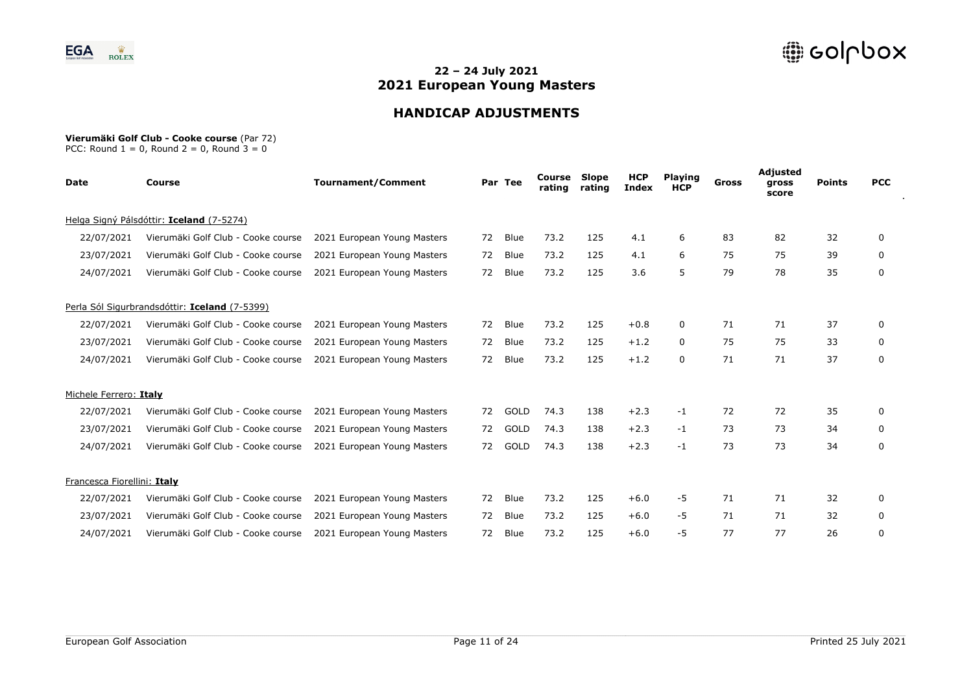

# **HANDICAP ADJUSTMENTS**

#### **Vierumäki Golf Club - Cooke course** (Par 72)

| <b>Date</b>                 | Course                                        | <b>Tournament/Comment</b>   |    | Par Tee     | Course<br>rating | <b>Slope</b><br>rating | <b>HCP</b><br><b>Index</b> | <b>Playing</b><br><b>HCP</b> | Gross | Adjusted<br>gross<br>score | <b>Points</b> | <b>PCC</b> |
|-----------------------------|-----------------------------------------------|-----------------------------|----|-------------|------------------|------------------------|----------------------------|------------------------------|-------|----------------------------|---------------|------------|
|                             | Helga Signý Pálsdóttir: Iceland (7-5274)      |                             |    |             |                  |                        |                            |                              |       |                            |               |            |
| 22/07/2021                  | Vierumäki Golf Club - Cooke course            | 2021 European Young Masters | 72 | Blue        | 73.2             | 125                    | 4.1                        | 6                            | 83    | 82                         | 32            | 0          |
| 23/07/2021                  | Vierumäki Golf Club - Cooke course            | 2021 European Young Masters | 72 | Blue        | 73.2             | 125                    | 4.1                        | 6                            | 75    | 75                         | 39            | 0          |
| 24/07/2021                  | Vierumäki Golf Club - Cooke course            | 2021 European Young Masters | 72 | Blue        | 73.2             | 125                    | 3.6                        | 5                            | 79    | 78                         | 35            | 0          |
|                             | Perla Sól Sigurbrandsdóttir: Iceland (7-5399) |                             |    |             |                  |                        |                            |                              |       |                            |               |            |
| 22/07/2021                  | Vierumäki Golf Club - Cooke course            | 2021 European Young Masters | 72 | Blue        | 73.2             | 125                    | $+0.8$                     | 0                            | 71    | 71                         | 37            | 0          |
| 23/07/2021                  | Vierumäki Golf Club - Cooke course            | 2021 European Young Masters | 72 | Blue        | 73.2             | 125                    | $+1.2$                     | 0                            | 75    | 75                         | 33            | 0          |
| 24/07/2021                  | Vierumäki Golf Club - Cooke course            | 2021 European Young Masters | 72 | Blue        | 73.2             | 125                    | $+1.2$                     | 0                            | 71    | 71                         | 37            | 0          |
| Michele Ferrero: Italy      |                                               |                             |    |             |                  |                        |                            |                              |       |                            |               |            |
| 22/07/2021                  | Vierumäki Golf Club - Cooke course            | 2021 European Young Masters | 72 | GOLD        | 74.3             | 138                    | $+2.3$                     | $-1$                         | 72    | 72                         | 35            | 0          |
| 23/07/2021                  | Vierumäki Golf Club - Cooke course            | 2021 European Young Masters | 72 | <b>GOLD</b> | 74.3             | 138                    | $+2.3$                     | $-1$                         | 73    | 73                         | 34            | 0          |
| 24/07/2021                  | Vierumäki Golf Club - Cooke course            | 2021 European Young Masters | 72 | <b>GOLD</b> | 74.3             | 138                    | $+2.3$                     | $-1$                         | 73    | 73                         | 34            | 0          |
| Francesca Fiorellini: Italy |                                               |                             |    |             |                  |                        |                            |                              |       |                            |               |            |
| 22/07/2021                  | Vierumäki Golf Club - Cooke course            | 2021 European Young Masters | 72 | Blue        | 73.2             | 125                    | $+6.0$                     | $-5$                         | 71    | 71                         | 32            | 0          |
| 23/07/2021                  | Vierumäki Golf Club - Cooke course            | 2021 European Young Masters | 72 | Blue        | 73.2             | 125                    | $+6.0$                     | $-5$                         | 71    | 71                         | 32            | 0          |
| 24/07/2021                  | Vierumäki Golf Club - Cooke course            | 2021 European Young Masters | 72 | Blue        | 73.2             | 125                    | $+6.0$                     | -5                           | 77    | 77                         | 26            | 0          |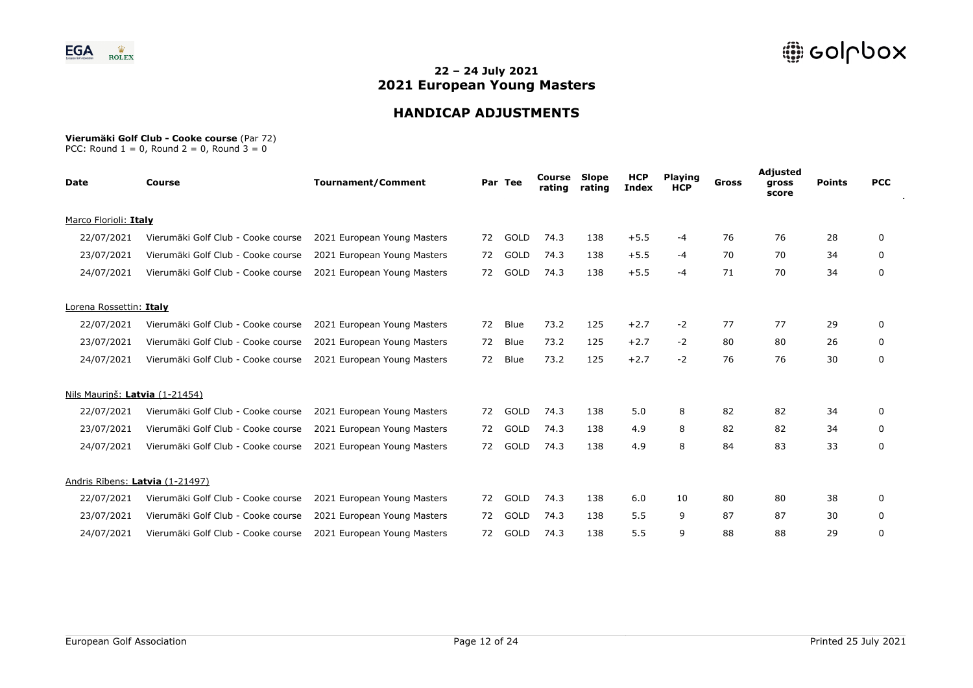

# **HANDICAP ADJUSTMENTS**

#### **Vierumäki Golf Club - Cooke course** (Par 72)

| Date                           | <b>Course</b>                      | <b>Tournament/Comment</b>   |    | Par Tee     | Course<br>rating | Slope<br>rating | <b>HCP</b><br><b>Index</b> | <b>Playing</b><br><b>HCP</b> | Gross | Adjusted<br>gross<br>score | <b>Points</b> | <b>PCC</b>   |
|--------------------------------|------------------------------------|-----------------------------|----|-------------|------------------|-----------------|----------------------------|------------------------------|-------|----------------------------|---------------|--------------|
| Marco Florioli: Italy          |                                    |                             |    |             |                  |                 |                            |                              |       |                            |               |              |
| 22/07/2021                     | Vierumäki Golf Club - Cooke course | 2021 European Young Masters | 72 | GOLD        | 74.3             | 138             | $+5.5$                     | -4                           | 76    | 76                         | 28            | 0            |
| 23/07/2021                     | Vierumäki Golf Club - Cooke course | 2021 European Young Masters | 72 | GOLD        | 74.3             | 138             | $+5.5$                     | -4                           | 70    | 70                         | 34            | 0            |
| 24/07/2021                     | Vierumäki Golf Club - Cooke course | 2021 European Young Masters | 72 | GOLD        | 74.3             | 138             | $+5.5$                     | $-4$                         | 71    | 70                         | 34            | 0            |
| Lorena Rossettin: Italy        |                                    |                             |    |             |                  |                 |                            |                              |       |                            |               |              |
| 22/07/2021                     | Vierumäki Golf Club - Cooke course | 2021 European Young Masters | 72 | Blue        | 73.2             | 125             | $+2.7$                     | $-2$                         | 77    | 77                         | 29            | 0            |
| 23/07/2021                     | Vierumäki Golf Club - Cooke course | 2021 European Young Masters | 72 | Blue        | 73.2             | 125             | $+2.7$                     | $-2$                         | 80    | 80                         | 26            | 0            |
| 24/07/2021                     | Vierumäki Golf Club - Cooke course | 2021 European Young Masters | 72 | Blue        | 73.2             | 125             | $+2.7$                     | $-2$                         | 76    | 76                         | 30            | 0            |
| Nils Maurinš: Latvia (1-21454) |                                    |                             |    |             |                  |                 |                            |                              |       |                            |               |              |
| 22/07/2021                     | Vierumäki Golf Club - Cooke course | 2021 European Young Masters | 72 | GOLD        | 74.3             | 138             | 5.0                        | 8                            | 82    | 82                         | 34            | $\mathbf{0}$ |
| 23/07/2021                     | Vierumäki Golf Club - Cooke course | 2021 European Young Masters | 72 | <b>GOLD</b> | 74.3             | 138             | 4.9                        | 8                            | 82    | 82                         | 34            | 0            |
| 24/07/2021                     | Vierumäki Golf Club - Cooke course | 2021 European Young Masters | 72 | <b>GOLD</b> | 74.3             | 138             | 4.9                        | 8                            | 84    | 83                         | 33            | 0            |
|                                | Andris Rībens: Latvia (1-21497)    |                             |    |             |                  |                 |                            |                              |       |                            |               |              |
| 22/07/2021                     | Vierumäki Golf Club - Cooke course | 2021 European Young Masters | 72 | GOLD        | 74.3             | 138             | 6.0                        | 10                           | 80    | 80                         | 38            | 0            |
| 23/07/2021                     | Vierumäki Golf Club - Cooke course | 2021 European Young Masters | 72 | GOLD        | 74.3             | 138             | 5.5                        | 9                            | 87    | 87                         | 30            | 0            |
| 24/07/2021                     | Vierumäki Golf Club - Cooke course | 2021 European Young Masters | 72 | GOLD        | 74.3             | 138             | 5.5                        | 9                            | 88    | 88                         | 29            | 0            |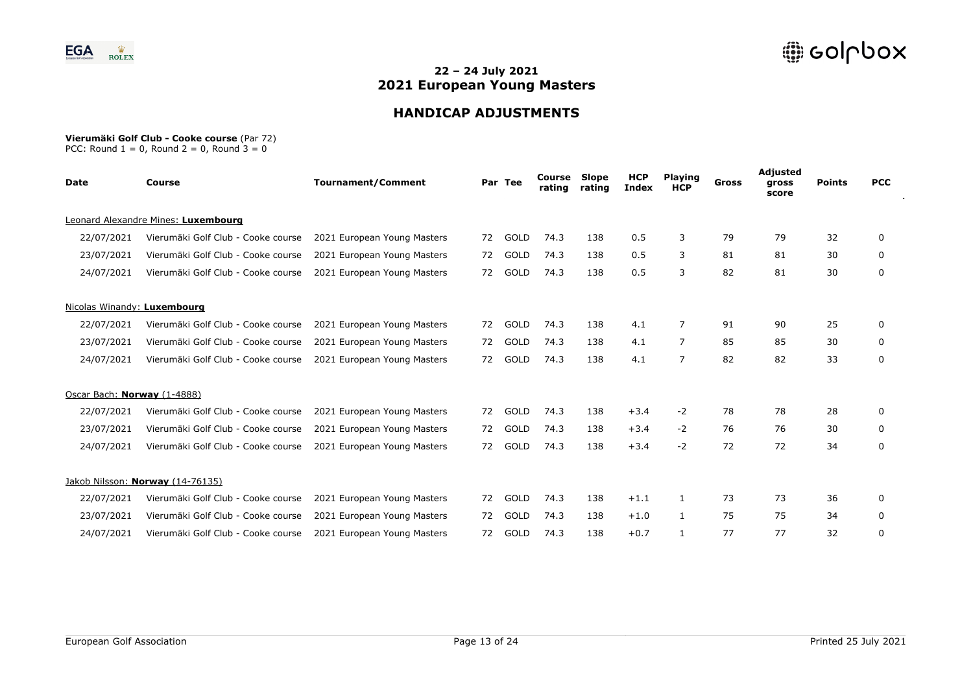

# **HANDICAP ADJUSTMENTS**

#### **Vierumäki Golf Club - Cooke course** (Par 72)

| <b>Date</b>                 | <b>Course</b>                       | <b>Tournament/Comment</b>   |    | Par Tee     | Course<br>rating | <b>Slope</b><br>rating | <b>HCP</b><br><b>Index</b> | <b>Playing</b><br><b>HCP</b> | Gross | Adjusted<br>gross<br>score | <b>Points</b> | <b>PCC</b> |
|-----------------------------|-------------------------------------|-----------------------------|----|-------------|------------------|------------------------|----------------------------|------------------------------|-------|----------------------------|---------------|------------|
|                             | Leonard Alexandre Mines: Luxembourg |                             |    |             |                  |                        |                            |                              |       |                            |               |            |
| 22/07/2021                  | Vierumäki Golf Club - Cooke course  | 2021 European Young Masters | 72 | GOLD        | 74.3             | 138                    | 0.5                        | 3                            | 79    | 79                         | 32            | 0          |
| 23/07/2021                  | Vierumäki Golf Club - Cooke course  | 2021 European Young Masters | 72 | GOLD        | 74.3             | 138                    | 0.5                        | 3                            | 81    | 81                         | 30            | 0          |
| 24/07/2021                  | Vierumäki Golf Club - Cooke course  | 2021 European Young Masters | 72 | <b>GOLD</b> | 74.3             | 138                    | 0.5                        | 3                            | 82    | 81                         | 30            | 0          |
| Nicolas Winandy: Luxembourg |                                     |                             |    |             |                  |                        |                            |                              |       |                            |               |            |
| 22/07/2021                  | Vierumäki Golf Club - Cooke course  | 2021 European Young Masters | 72 | GOLD        | 74.3             | 138                    | 4.1                        | 7                            | 91    | 90                         | 25            | 0          |
| 23/07/2021                  | Vierumäki Golf Club - Cooke course  | 2021 European Young Masters | 72 | GOLD        | 74.3             | 138                    | 4.1                        | $\overline{7}$               | 85    | 85                         | 30            | 0          |
| 24/07/2021                  | Vierumäki Golf Club - Cooke course  | 2021 European Young Masters | 72 | GOLD        | 74.3             | 138                    | 4.1                        | $\overline{7}$               | 82    | 82                         | 33            | 0          |
| Oscar Bach: Norway (1-4888) |                                     |                             |    |             |                  |                        |                            |                              |       |                            |               |            |
| 22/07/2021                  | Vierumäki Golf Club - Cooke course  | 2021 European Young Masters | 72 | GOLD        | 74.3             | 138                    | $+3.4$                     | $-2$                         | 78    | 78                         | 28            | 0          |
| 23/07/2021                  | Vierumäki Golf Club - Cooke course  | 2021 European Young Masters | 72 | GOLD        | 74.3             | 138                    | $+3.4$                     | $-2$                         | 76    | 76                         | 30            | 0          |
| 24/07/2021                  | Vierumäki Golf Club - Cooke course  | 2021 European Young Masters | 72 | GOLD        | 74.3             | 138                    | $+3.4$                     | $-2$                         | 72    | 72                         | 34            | 0          |
|                             | Jakob Nilsson: Norway (14-76135)    |                             |    |             |                  |                        |                            |                              |       |                            |               |            |
| 22/07/2021                  | Vierumäki Golf Club - Cooke course  | 2021 European Young Masters | 72 | GOLD        | 74.3             | 138                    | $+1.1$                     | 1                            | 73    | 73                         | 36            | 0          |
| 23/07/2021                  | Vierumäki Golf Club - Cooke course  | 2021 European Young Masters | 72 | GOLD        | 74.3             | 138                    | $+1.0$                     | $\mathbf{1}$                 | 75    | 75                         | 34            | 0          |
| 24/07/2021                  | Vierumäki Golf Club - Cooke course  | 2021 European Young Masters | 72 | GOLD        | 74.3             | 138                    | $+0.7$                     | $\mathbf{1}$                 | 77    | 77                         | 32            | 0          |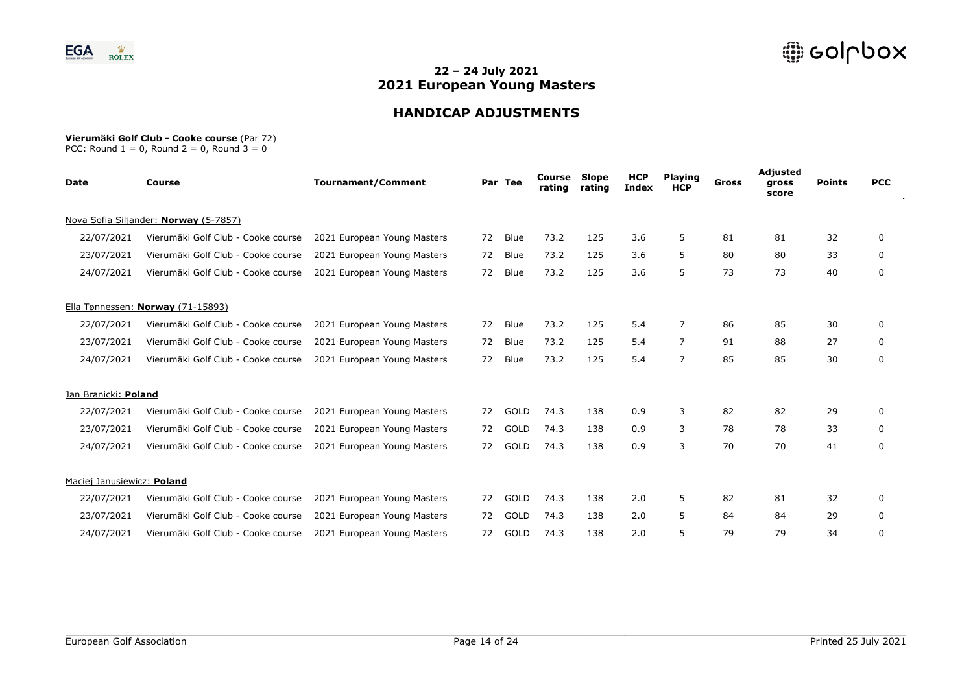

# **HANDICAP ADJUSTMENTS**

#### **Vierumäki Golf Club - Cooke course** (Par 72)

| <b>Date</b>                | Course                                | <b>Tournament/Comment</b>   |    | Par Tee     | Course<br>rating | <b>Slope</b><br>rating | <b>HCP</b><br><b>Index</b> | <b>Playing</b><br><b>HCP</b> | Gross | Adjusted<br>gross<br>score | <b>Points</b> | <b>PCC</b> |
|----------------------------|---------------------------------------|-----------------------------|----|-------------|------------------|------------------------|----------------------------|------------------------------|-------|----------------------------|---------------|------------|
|                            | Nova Sofia Siljander: Norway (5-7857) |                             |    |             |                  |                        |                            |                              |       |                            |               |            |
| 22/07/2021                 | Vierumäki Golf Club - Cooke course    | 2021 European Young Masters | 72 | Blue        | 73.2             | 125                    | 3.6                        | 5                            | 81    | 81                         | 32            | 0          |
| 23/07/2021                 | Vierumäki Golf Club - Cooke course    | 2021 European Young Masters | 72 | Blue        | 73.2             | 125                    | 3.6                        | 5                            | 80    | 80                         | 33            | 0          |
| 24/07/2021                 | Vierumäki Golf Club - Cooke course    | 2021 European Young Masters | 72 | Blue        | 73.2             | 125                    | 3.6                        | 5                            | 73    | 73                         | 40            | 0          |
|                            | Ella Tønnessen: Norway (71-15893)     |                             |    |             |                  |                        |                            |                              |       |                            |               |            |
| 22/07/2021                 | Vierumäki Golf Club - Cooke course    | 2021 European Young Masters | 72 | Blue        | 73.2             | 125                    | 5.4                        | 7                            | 86    | 85                         | 30            | 0          |
| 23/07/2021                 | Vierumäki Golf Club - Cooke course    | 2021 European Young Masters | 72 | Blue        | 73.2             | 125                    | 5.4                        | $\overline{7}$               | 91    | 88                         | 27            | 0          |
| 24/07/2021                 | Vierumäki Golf Club - Cooke course    | 2021 European Young Masters | 72 | Blue        | 73.2             | 125                    | 5.4                        | $\overline{7}$               | 85    | 85                         | 30            | 0          |
| Jan Branicki: Poland       |                                       |                             |    |             |                  |                        |                            |                              |       |                            |               |            |
| 22/07/2021                 | Vierumäki Golf Club - Cooke course    | 2021 European Young Masters | 72 | GOLD        | 74.3             | 138                    | 0.9                        | 3                            | 82    | 82                         | 29            | 0          |
| 23/07/2021                 | Vierumäki Golf Club - Cooke course    | 2021 European Young Masters | 72 | <b>GOLD</b> | 74.3             | 138                    | 0.9                        | 3                            | 78    | 78                         | 33            | 0          |
| 24/07/2021                 | Vierumäki Golf Club - Cooke course    | 2021 European Young Masters | 72 | <b>GOLD</b> | 74.3             | 138                    | 0.9                        | 3                            | 70    | 70                         | 41            | 0          |
| Maciej Janusiewicz: Poland |                                       |                             |    |             |                  |                        |                            |                              |       |                            |               |            |
| 22/07/2021                 | Vierumäki Golf Club - Cooke course    | 2021 European Young Masters | 72 | GOLD        | 74.3             | 138                    | 2.0                        | 5                            | 82    | 81                         | 32            | 0          |
| 23/07/2021                 | Vierumäki Golf Club - Cooke course    | 2021 European Young Masters | 72 | GOLD        | 74.3             | 138                    | 2.0                        | 5                            | 84    | 84                         | 29            | 0          |
| 24/07/2021                 | Vierumäki Golf Club - Cooke course    | 2021 European Young Masters | 72 | <b>GOLD</b> | 74.3             | 138                    | 2.0                        | 5                            | 79    | 79                         | 34            | 0          |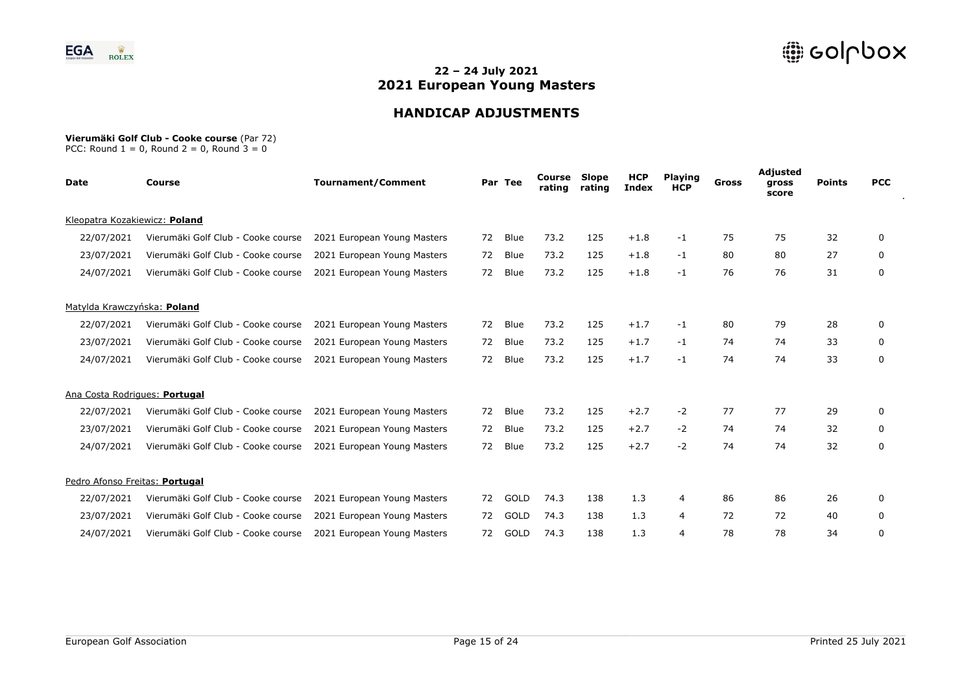

# **HANDICAP ADJUSTMENTS**

#### **Vierumäki Golf Club - Cooke course** (Par 72)

| <b>Date</b>                    | <b>Course</b>                      | <b>Tournament/Comment</b>   |    | Par Tee     | Course<br>rating | Slope<br>rating | <b>HCP</b><br><b>Index</b> | <b>Playing</b><br><b>HCP</b> | <b>Gross</b> | Adjusted<br>gross<br>score | <b>Points</b> | <b>PCC</b> |
|--------------------------------|------------------------------------|-----------------------------|----|-------------|------------------|-----------------|----------------------------|------------------------------|--------------|----------------------------|---------------|------------|
| Kleopatra Kozakiewicz: Poland  |                                    |                             |    |             |                  |                 |                            |                              |              |                            |               |            |
| 22/07/2021                     | Vierumäki Golf Club - Cooke course | 2021 European Young Masters | 72 | <b>Blue</b> | 73.2             | 125             | $+1.8$                     | $-1$                         | 75           | 75                         | 32            | 0          |
| 23/07/2021                     | Vierumäki Golf Club - Cooke course | 2021 European Young Masters | 72 | <b>Blue</b> | 73.2             | 125             | $+1.8$                     | $-1$                         | 80           | 80                         | 27            | 0          |
| 24/07/2021                     | Vierumäki Golf Club - Cooke course | 2021 European Young Masters | 72 | Blue        | 73.2             | 125             | $+1.8$                     | $-1$                         | 76           | 76                         | 31            | 0          |
| Matylda Krawczyńska: Poland    |                                    |                             |    |             |                  |                 |                            |                              |              |                            |               |            |
| 22/07/2021                     | Vierumäki Golf Club - Cooke course | 2021 European Young Masters | 72 | <b>Blue</b> | 73.2             | 125             | $+1.7$                     | $-1$                         | 80           | 79                         | 28            | 0          |
| 23/07/2021                     | Vierumäki Golf Club - Cooke course | 2021 European Young Masters | 72 | Blue        | 73.2             | 125             | $+1.7$                     | $-1$                         | 74           | 74                         | 33            | 0          |
| 24/07/2021                     | Vierumäki Golf Club - Cooke course | 2021 European Young Masters | 72 | <b>Blue</b> | 73.2             | 125             | $+1.7$                     | $-1$                         | 74           | 74                         | 33            | 0          |
| Ana Costa Rodrigues: Portugal  |                                    |                             |    |             |                  |                 |                            |                              |              |                            |               |            |
| 22/07/2021                     | Vierumäki Golf Club - Cooke course | 2021 European Young Masters | 72 | <b>Blue</b> | 73.2             | 125             | $+2.7$                     | $-2$                         | 77           | 77                         | 29            | $\Omega$   |
| 23/07/2021                     | Vierumäki Golf Club - Cooke course | 2021 European Young Masters | 72 | <b>Blue</b> | 73.2             | 125             | $+2.7$                     | $-2$                         | 74           | 74                         | 32            | 0          |
| 24/07/2021                     | Vierumäki Golf Club - Cooke course | 2021 European Young Masters | 72 | <b>Blue</b> | 73.2             | 125             | $+2.7$                     | $-2$                         | 74           | 74                         | 32            | 0          |
| Pedro Afonso Freitas: Portugal |                                    |                             |    |             |                  |                 |                            |                              |              |                            |               |            |
| 22/07/2021                     | Vierumäki Golf Club - Cooke course | 2021 European Young Masters | 72 | GOLD        | 74.3             | 138             | 1.3                        | 4                            | 86           | 86                         | 26            | 0          |
| 23/07/2021                     | Vierumäki Golf Club - Cooke course | 2021 European Young Masters | 72 | GOLD        | 74.3             | 138             | 1.3                        | 4                            | 72           | 72                         | 40            | 0          |
| 24/07/2021                     | Vierumäki Golf Club - Cooke course | 2021 European Young Masters | 72 | GOLD        | 74.3             | 138             | 1.3                        | 4                            | 78           | 78                         | 34            | 0          |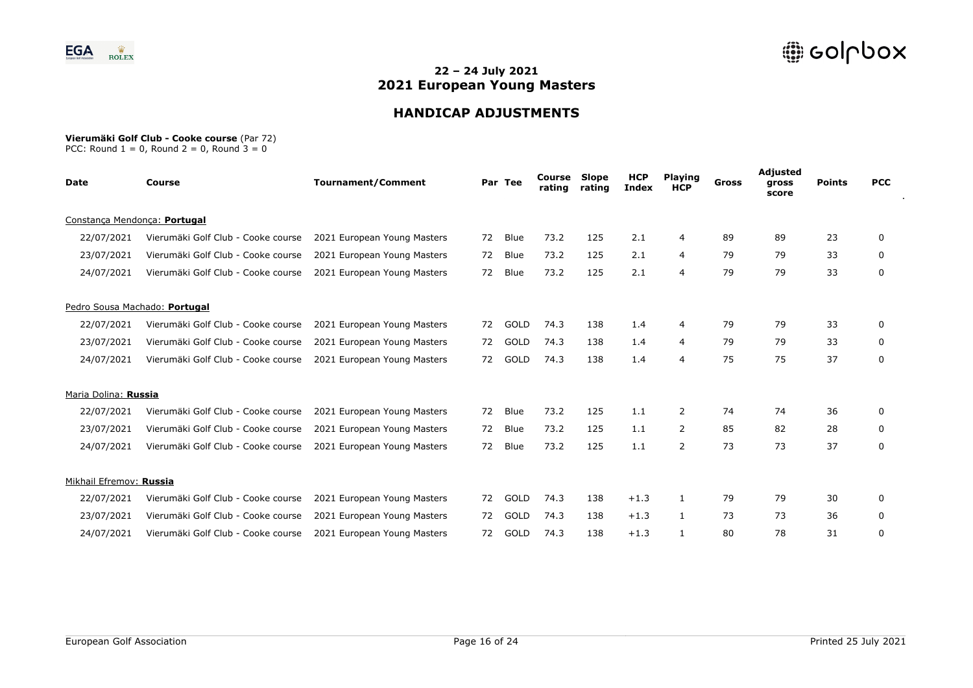

# **HANDICAP ADJUSTMENTS**

#### **Vierumäki Golf Club - Cooke course** (Par 72)

| <b>Date</b>             | <b>Course</b>                      | <b>Tournament/Comment</b>   |    | Par Tee | Course<br>rating | Slope<br>rating | <b>HCP</b><br><b>Index</b> | <b>Playing</b><br><b>HCP</b> | Gross | Adjusted<br>gross<br>score | <b>Points</b> | <b>PCC</b> |
|-------------------------|------------------------------------|-----------------------------|----|---------|------------------|-----------------|----------------------------|------------------------------|-------|----------------------------|---------------|------------|
|                         | Constanca Mendonca: Portugal       |                             |    |         |                  |                 |                            |                              |       |                            |               |            |
| 22/07/2021              | Vierumäki Golf Club - Cooke course | 2021 European Young Masters | 72 | Blue    | 73.2             | 125             | 2.1                        | 4                            | 89    | 89                         | 23            | 0          |
| 23/07/2021              | Vierumäki Golf Club - Cooke course | 2021 European Young Masters | 72 | Blue    | 73.2             | 125             | 2.1                        | 4                            | 79    | 79                         | 33            | 0          |
| 24/07/2021              | Vierumäki Golf Club - Cooke course | 2021 European Young Masters | 72 | Blue    | 73.2             | 125             | 2.1                        | 4                            | 79    | 79                         | 33            | 0          |
|                         | Pedro Sousa Machado: Portugal      |                             |    |         |                  |                 |                            |                              |       |                            |               |            |
| 22/07/2021              | Vierumäki Golf Club - Cooke course | 2021 European Young Masters | 72 | GOLD    | 74.3             | 138             | 1.4                        | 4                            | 79    | 79                         | 33            | 0          |
| 23/07/2021              | Vierumäki Golf Club - Cooke course | 2021 European Young Masters | 72 | GOLD    | 74.3             | 138             | 1.4                        | 4                            | 79    | 79                         | 33            | 0          |
| 24/07/2021              | Vierumäki Golf Club - Cooke course | 2021 European Young Masters | 72 | GOLD    | 74.3             | 138             | 1.4                        | 4                            | 75    | 75                         | 37            | 0          |
| Maria Dolina: Russia    |                                    |                             |    |         |                  |                 |                            |                              |       |                            |               |            |
| 22/07/2021              | Vierumäki Golf Club - Cooke course | 2021 European Young Masters | 72 | Blue    | 73.2             | 125             | 1.1                        | 2                            | 74    | 74                         | 36            | 0          |
| 23/07/2021              | Vierumäki Golf Club - Cooke course | 2021 European Young Masters | 72 | Blue    | 73.2             | 125             | 1.1                        | 2                            | 85    | 82                         | 28            | 0          |
| 24/07/2021              | Vierumäki Golf Club - Cooke course | 2021 European Young Masters | 72 | Blue    | 73.2             | 125             | 1.1                        | 2                            | 73    | 73                         | 37            | 0          |
| Mikhail Efremov: Russia |                                    |                             |    |         |                  |                 |                            |                              |       |                            |               |            |
| 22/07/2021              | Vierumäki Golf Club - Cooke course | 2021 European Young Masters | 72 | GOLD    | 74.3             | 138             | $+1.3$                     | $\mathbf{1}$                 | 79    | 79                         | 30            | 0          |
| 23/07/2021              | Vierumäki Golf Club - Cooke course | 2021 European Young Masters | 72 | GOLD    | 74.3             | 138             | $+1.3$                     | $\mathbf{1}$                 | 73    | 73                         | 36            | 0          |
| 24/07/2021              | Vierumäki Golf Club - Cooke course | 2021 European Young Masters | 72 | GOLD    | 74.3             | 138             | $+1.3$                     | $\mathbf{1}$                 | 80    | 78                         | 31            | 0          |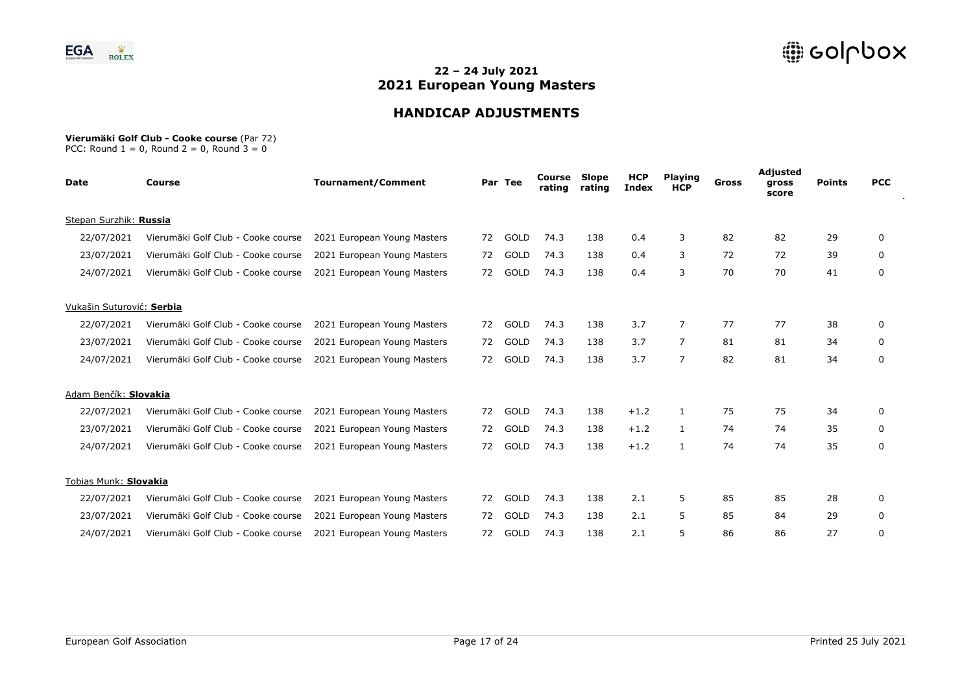

# **HANDICAP ADJUSTMENTS**

#### **Vierumäki Golf Club - Cooke course** (Par 72)

| Date                      | <b>Course</b>                      | <b>Tournament/Comment</b>   |    | Par Tee | Course<br>rating | Slope<br>rating | <b>HCP</b><br><b>Index</b> | <b>Playing</b><br><b>HCP</b> | Gross | Adjusted<br>gross<br>score | <b>Points</b> | <b>PCC</b>   |
|---------------------------|------------------------------------|-----------------------------|----|---------|------------------|-----------------|----------------------------|------------------------------|-------|----------------------------|---------------|--------------|
| Stepan Surzhik: Russia    |                                    |                             |    |         |                  |                 |                            |                              |       |                            |               |              |
| 22/07/2021                | Vierumäki Golf Club - Cooke course | 2021 European Young Masters | 72 | GOLD    | 74.3             | 138             | 0.4                        | 3                            | 82    | 82                         | 29            | 0            |
| 23/07/2021                | Vierumäki Golf Club - Cooke course | 2021 European Young Masters | 72 | GOLD    | 74.3             | 138             | 0.4                        | 3                            | 72    | 72                         | 39            | 0            |
| 24/07/2021                | Vierumäki Golf Club - Cooke course | 2021 European Young Masters | 72 | GOLD    | 74.3             | 138             | 0.4                        | 3                            | 70    | 70                         | 41            | 0            |
| Vukašin Suturović: Serbia |                                    |                             |    |         |                  |                 |                            |                              |       |                            |               |              |
| 22/07/2021                | Vierumäki Golf Club - Cooke course | 2021 European Young Masters | 72 | GOLD    | 74.3             | 138             | 3.7                        | 7                            | 77    | 77                         | 38            | 0            |
| 23/07/2021                | Vierumäki Golf Club - Cooke course | 2021 European Young Masters | 72 | GOLD    | 74.3             | 138             | 3.7                        | 7                            | 81    | 81                         | 34            | 0            |
| 24/07/2021                | Vierumäki Golf Club - Cooke course | 2021 European Young Masters | 72 | GOLD    | 74.3             | 138             | 3.7                        | 7                            | 82    | 81                         | 34            | 0            |
| Adam Benčík: Slovakia     |                                    |                             |    |         |                  |                 |                            |                              |       |                            |               |              |
| 22/07/2021                | Vierumäki Golf Club - Cooke course | 2021 European Young Masters | 72 | GOLD    | 74.3             | 138             | $+1.2$                     | 1                            | 75    | 75                         | 34            | $\mathbf{0}$ |
| 23/07/2021                | Vierumäki Golf Club - Cooke course | 2021 European Young Masters | 72 | GOLD    | 74.3             | 138             | $+1.2$                     | $\mathbf{1}$                 | 74    | 74                         | 35            | 0            |
| 24/07/2021                | Vierumäki Golf Club - Cooke course | 2021 European Young Masters | 72 | GOLD    | 74.3             | 138             | $+1.2$                     | $\mathbf{1}$                 | 74    | 74                         | 35            | 0            |
| Tobias Munk: Slovakia     |                                    |                             |    |         |                  |                 |                            |                              |       |                            |               |              |
| 22/07/2021                | Vierumäki Golf Club - Cooke course | 2021 European Young Masters | 72 | GOLD    | 74.3             | 138             | 2.1                        | 5.                           | 85    | 85                         | 28            | 0            |
| 23/07/2021                | Vierumäki Golf Club - Cooke course | 2021 European Young Masters | 72 | GOLD    | 74.3             | 138             | 2.1                        | 5                            | 85    | 84                         | 29            | 0            |
| 24/07/2021                | Vierumäki Golf Club - Cooke course | 2021 European Young Masters | 72 | GOLD    | 74.3             | 138             | 2.1                        | 5                            | 86    | 86                         | 27            | 0            |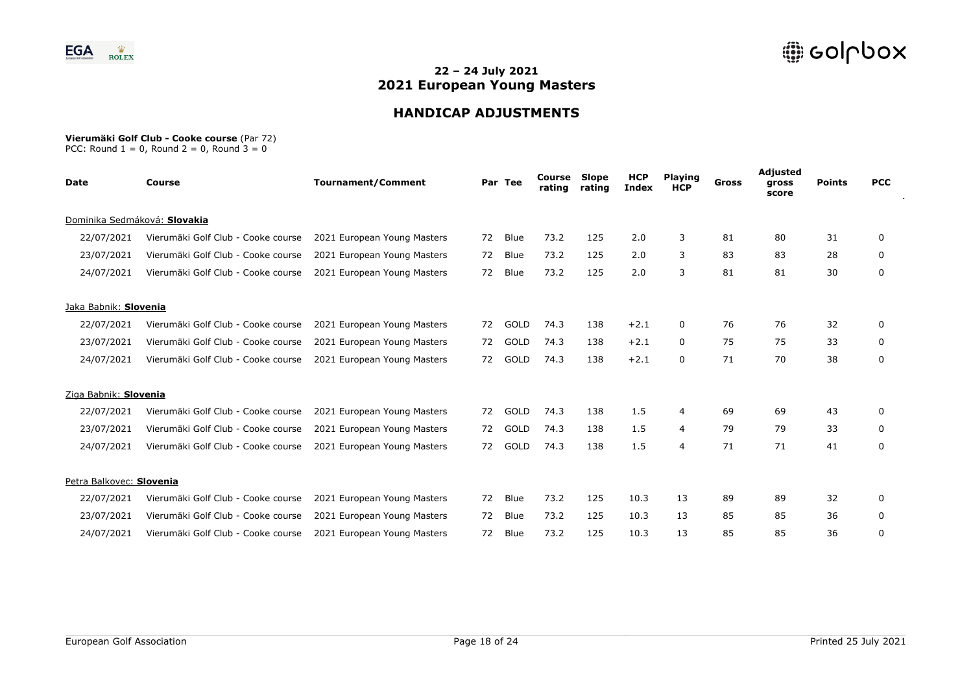

# **HANDICAP ADJUSTMENTS**

#### **Vierumäki Golf Club - Cooke course** (Par 72)

| Date                     | <b>Course</b>                      | <b>Tournament/Comment</b>   |    | Par Tee     | Course<br>rating | Slope<br>rating | <b>HCP</b><br><b>Index</b> | <b>Playing</b><br><b>HCP</b> | Gross | Adjusted<br>gross<br>score | <b>Points</b> | <b>PCC</b>   |
|--------------------------|------------------------------------|-----------------------------|----|-------------|------------------|-----------------|----------------------------|------------------------------|-------|----------------------------|---------------|--------------|
|                          | Dominika Sedmáková: Slovakia       |                             |    |             |                  |                 |                            |                              |       |                            |               |              |
| 22/07/2021               | Vierumäki Golf Club - Cooke course | 2021 European Young Masters | 72 | Blue        | 73.2             | 125             | 2.0                        | 3                            | 81    | 80                         | 31            | 0            |
| 23/07/2021               | Vierumäki Golf Club - Cooke course | 2021 European Young Masters | 72 | Blue        | 73.2             | 125             | 2.0                        | 3                            | 83    | 83                         | 28            | 0            |
| 24/07/2021               | Vierumäki Golf Club - Cooke course | 2021 European Young Masters | 72 | Blue        | 73.2             | 125             | 2.0                        | 3                            | 81    | 81                         | 30            | 0            |
| Jaka Babnik: Slovenia    |                                    |                             |    |             |                  |                 |                            |                              |       |                            |               |              |
| 22/07/2021               | Vierumäki Golf Club - Cooke course | 2021 European Young Masters | 72 | GOLD        | 74.3             | 138             | $+2.1$                     | 0                            | 76    | 76                         | 32            | 0            |
| 23/07/2021               | Vierumäki Golf Club - Cooke course | 2021 European Young Masters | 72 | GOLD        | 74.3             | 138             | $+2.1$                     | 0                            | 75    | 75                         | 33            | 0            |
| 24/07/2021               | Vierumäki Golf Club - Cooke course | 2021 European Young Masters | 72 | GOLD        | 74.3             | 138             | $+2.1$                     | 0                            | 71    | 70                         | 38            | 0            |
| Ziga Babnik: Slovenia    |                                    |                             |    |             |                  |                 |                            |                              |       |                            |               |              |
| 22/07/2021               | Vierumäki Golf Club - Cooke course | 2021 European Young Masters | 72 | GOLD        | 74.3             | 138             | 1.5                        | 4                            | 69    | 69                         | 43            | $\mathbf{0}$ |
| 23/07/2021               | Vierumäki Golf Club - Cooke course | 2021 European Young Masters | 72 | GOLD        | 74.3             | 138             | 1.5                        | 4                            | 79    | 79                         | 33            | 0            |
| 24/07/2021               | Vierumäki Golf Club - Cooke course | 2021 European Young Masters | 72 | <b>GOLD</b> | 74.3             | 138             | 1.5                        | 4                            | 71    | 71                         | 41            | 0            |
| Petra Balkovec: Slovenia |                                    |                             |    |             |                  |                 |                            |                              |       |                            |               |              |
| 22/07/2021               | Vierumäki Golf Club - Cooke course | 2021 European Young Masters | 72 | Blue        | 73.2             | 125             | 10.3                       | 13                           | 89    | 89                         | 32            | 0            |
| 23/07/2021               | Vierumäki Golf Club - Cooke course | 2021 European Young Masters | 72 | Blue        | 73.2             | 125             | 10.3                       | 13                           | 85    | 85                         | 36            | 0            |
| 24/07/2021               | Vierumäki Golf Club - Cooke course | 2021 European Young Masters | 72 | Blue        | 73.2             | 125             | 10.3                       | 13                           | 85    | 85                         | 36            | 0            |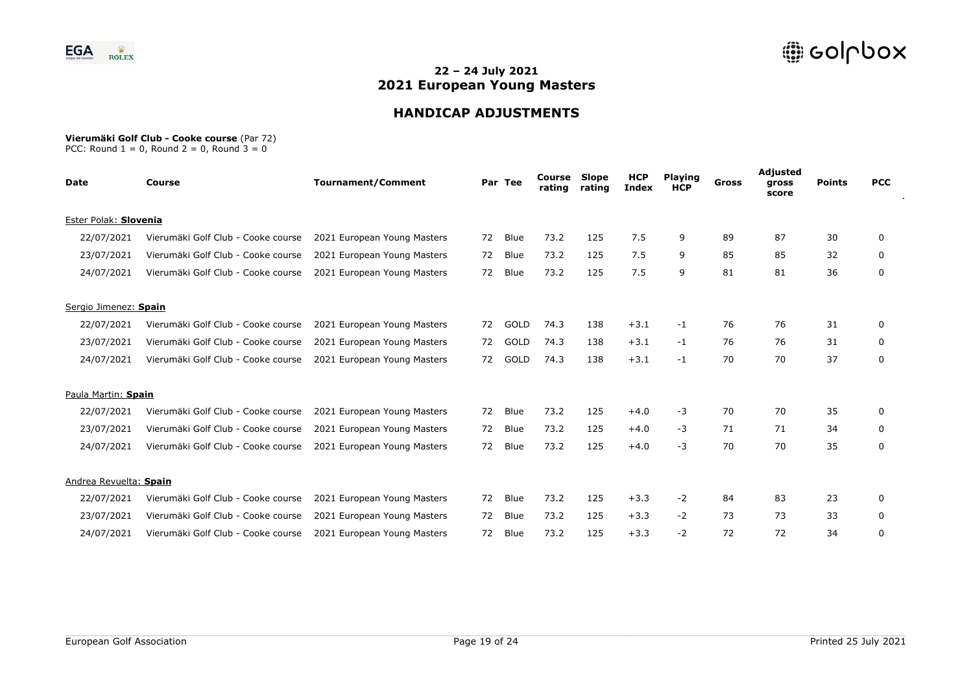

# **HANDICAP ADJUSTMENTS**

#### **Vierumäki Golf Club - Cooke course** (Par 72)

| <b>Date</b>            | <b>Course</b>                      | <b>Tournament/Comment</b>   |    | Par Tee | Course<br>rating | Slope<br>rating | <b>HCP</b><br><b>Index</b> | <b>Playing</b><br><b>HCP</b> | Gross | Adjusted<br>gross<br>score | <b>Points</b> | <b>PCC</b> |
|------------------------|------------------------------------|-----------------------------|----|---------|------------------|-----------------|----------------------------|------------------------------|-------|----------------------------|---------------|------------|
| Ester Polak: Slovenia  |                                    |                             |    |         |                  |                 |                            |                              |       |                            |               |            |
| 22/07/2021             | Vierumäki Golf Club - Cooke course | 2021 European Young Masters | 72 | Blue    | 73.2             | 125             | 7.5                        | 9                            | 89    | 87                         | 30            | 0          |
| 23/07/2021             | Vierumäki Golf Club - Cooke course | 2021 European Young Masters | 72 | Blue    | 73.2             | 125             | 7.5                        | 9                            | 85    | 85                         | 32            | 0          |
| 24/07/2021             | Vierumäki Golf Club - Cooke course | 2021 European Young Masters | 72 | Blue    | 73.2             | 125             | 7.5                        | 9                            | 81    | 81                         | 36            | 0          |
| Sergio Jimenez: Spain  |                                    |                             |    |         |                  |                 |                            |                              |       |                            |               |            |
| 22/07/2021             | Vierumäki Golf Club - Cooke course | 2021 European Young Masters | 72 | GOLD    | 74.3             | 138             | $+3.1$                     | -1                           | 76    | 76                         | 31            | 0          |
| 23/07/2021             | Vierumäki Golf Club - Cooke course | 2021 European Young Masters | 72 | GOLD    | 74.3             | 138             | $+3.1$                     | $-1$                         | 76    | 76                         | 31            | 0          |
| 24/07/2021             | Vierumäki Golf Club - Cooke course | 2021 European Young Masters | 72 | GOLD    | 74.3             | 138             | $+3.1$                     | $-1$                         | 70    | 70                         | 37            | 0          |
| Paula Martin: Spain    |                                    |                             |    |         |                  |                 |                            |                              |       |                            |               |            |
| 22/07/2021             | Vierumäki Golf Club - Cooke course | 2021 European Young Masters | 72 | Blue    | 73.2             | 125             | $+4.0$                     | $-3$                         | 70    | 70                         | 35            | 0          |
| 23/07/2021             | Vierumäki Golf Club - Cooke course | 2021 European Young Masters | 72 | Blue    | 73.2             | 125             | $+4.0$                     | $-3$                         | 71    | 71                         | 34            | 0          |
| 24/07/2021             | Vierumäki Golf Club - Cooke course | 2021 European Young Masters | 72 | Blue    | 73.2             | 125             | $+4.0$                     | $-3$                         | 70    | 70                         | 35            | 0          |
| Andrea Revuelta: Spain |                                    |                             |    |         |                  |                 |                            |                              |       |                            |               |            |
| 22/07/2021             | Vierumäki Golf Club - Cooke course | 2021 European Young Masters | 72 | Blue    | 73.2             | 125             | $+3.3$                     | $-2$                         | 84    | 83                         | 23            | 0          |
| 23/07/2021             | Vierumäki Golf Club - Cooke course | 2021 European Young Masters | 72 | Blue    | 73.2             | 125             | $+3.3$                     | $-2$                         | 73    | 73                         | 33            | 0          |
| 24/07/2021             | Vierumäki Golf Club - Cooke course | 2021 European Young Masters | 72 | Blue    | 73.2             | 125             | $+3.3$                     | -2                           | 72    | 72                         | 34            | 0          |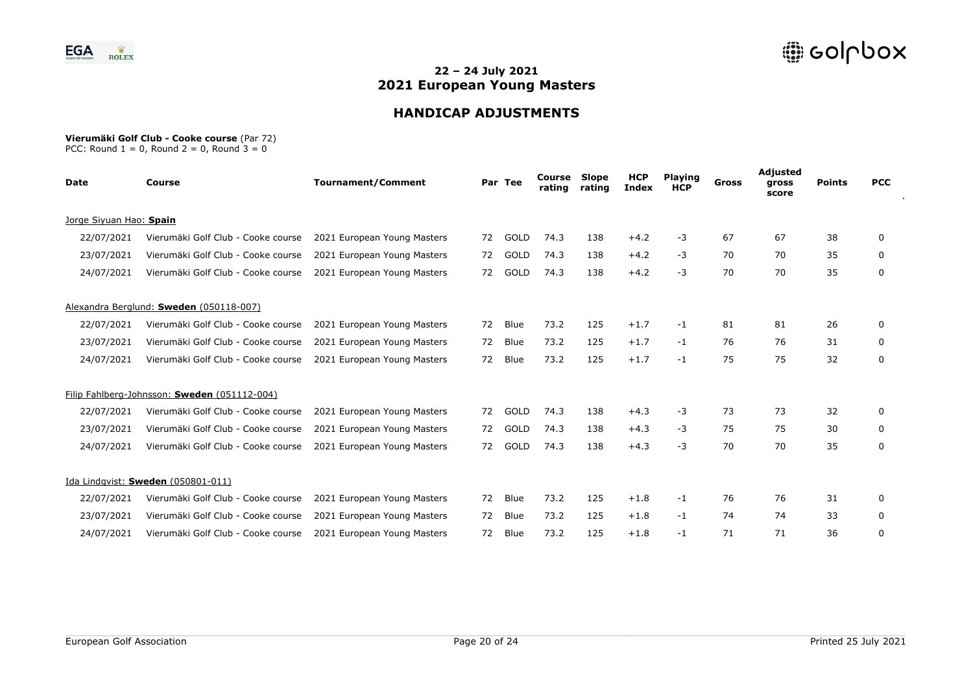

# **HANDICAP ADJUSTMENTS**

#### **Vierumäki Golf Club - Cooke course** (Par 72)

| <b>Date</b>             | <b>Course</b>                                | <b>Tournament/Comment</b>   |    | Par Tee     | Course<br>rating | Slope<br>rating | <b>HCP</b><br><b>Index</b> | <b>Playing</b><br><b>HCP</b> | Gross | Adjusted<br>gross<br>score | <b>Points</b> | <b>PCC</b>   |
|-------------------------|----------------------------------------------|-----------------------------|----|-------------|------------------|-----------------|----------------------------|------------------------------|-------|----------------------------|---------------|--------------|
| Jorge Siyuan Hao: Spain |                                              |                             |    |             |                  |                 |                            |                              |       |                            |               |              |
| 22/07/2021              | Vierumäki Golf Club - Cooke course           | 2021 European Young Masters | 72 | <b>GOLD</b> | 74.3             | 138             | $+4.2$                     | $-3$                         | 67    | 67                         | 38            | 0            |
| 23/07/2021              | Vierumäki Golf Club - Cooke course           | 2021 European Young Masters | 72 | GOLD        | 74.3             | 138             | $+4.2$                     | -3                           | 70    | 70                         | 35            | 0            |
| 24/07/2021              | Vierumäki Golf Club - Cooke course           | 2021 European Young Masters | 72 | <b>GOLD</b> | 74.3             | 138             | $+4.2$                     | $-3$                         | 70    | 70                         | 35            | 0            |
|                         | Alexandra Berglund: Sweden (050118-007)      |                             |    |             |                  |                 |                            |                              |       |                            |               |              |
| 22/07/2021              | Vierumäki Golf Club - Cooke course           | 2021 European Young Masters | 72 | Blue        | 73.2             | 125             | $+1.7$                     | $-1$                         | 81    | 81                         | 26            | 0            |
| 23/07/2021              | Vierumäki Golf Club - Cooke course           | 2021 European Young Masters | 72 | Blue        | 73.2             | 125             | $+1.7$                     | $-1$                         | 76    | 76                         | 31            | 0            |
| 24/07/2021              | Vierumäki Golf Club - Cooke course           | 2021 European Young Masters | 72 | Blue        | 73.2             | 125             | $+1.7$                     | $-1$                         | 75    | 75                         | 32            | 0            |
|                         | Filip Fahlberg-Johnsson: Sweden (051112-004) |                             |    |             |                  |                 |                            |                              |       |                            |               |              |
| 22/07/2021              | Vierumäki Golf Club - Cooke course           | 2021 European Young Masters | 72 | <b>GOLD</b> | 74.3             | 138             | $+4.3$                     | -3                           | 73    | 73                         | 32            | $\mathbf{0}$ |
| 23/07/2021              | Vierumäki Golf Club - Cooke course           | 2021 European Young Masters | 72 | GOLD        | 74.3             | 138             | $+4.3$                     | $-3$                         | 75    | 75                         | 30            | 0            |
| 24/07/2021              | Vierumäki Golf Club - Cooke course           | 2021 European Young Masters | 72 | GOLD        | 74.3             | 138             | $+4.3$                     | $-3$                         | 70    | 70                         | 35            | 0            |
|                         | Ida Lindqvist: Sweden (050801-011)           |                             |    |             |                  |                 |                            |                              |       |                            |               |              |
| 22/07/2021              | Vierumäki Golf Club - Cooke course           | 2021 European Young Masters | 72 | Blue        | 73.2             | 125             | $+1.8$                     | -1                           | 76    | 76                         | 31            | 0            |
| 23/07/2021              | Vierumäki Golf Club - Cooke course           | 2021 European Young Masters | 72 | Blue        | 73.2             | 125             | $+1.8$                     | $-1$                         | 74    | 74                         | 33            | 0            |
| 24/07/2021              | Vierumäki Golf Club - Cooke course           | 2021 European Young Masters | 72 | Blue        | 73.2             | 125             | $+1.8$                     | -1                           | 71    | 71                         | 36            | 0            |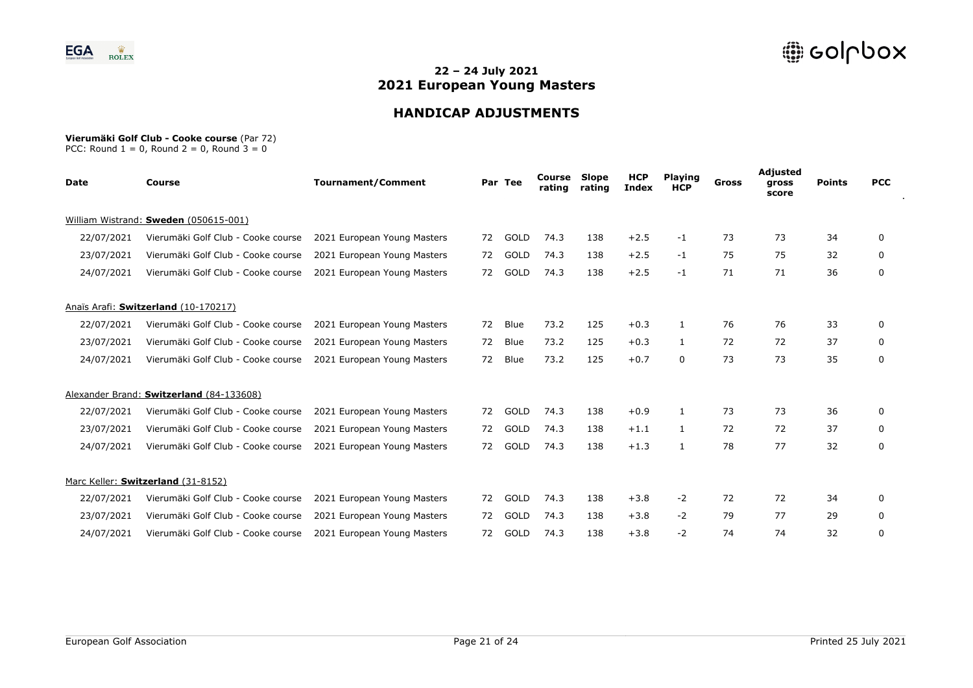

# **HANDICAP ADJUSTMENTS**

#### **Vierumäki Golf Club - Cooke course** (Par 72)

| Date       | Course                                   | <b>Tournament/Comment</b>   |    | Par Tee     | Course<br>rating | Slope<br>rating | <b>HCP</b><br><b>Index</b> | <b>Playing</b><br><b>HCP</b> | Gross | Adjusted<br>gross<br>score | <b>Points</b> | <b>PCC</b>   |
|------------|------------------------------------------|-----------------------------|----|-------------|------------------|-----------------|----------------------------|------------------------------|-------|----------------------------|---------------|--------------|
|            | William Wistrand: Sweden (050615-001)    |                             |    |             |                  |                 |                            |                              |       |                            |               |              |
| 22/07/2021 | Vierumäki Golf Club - Cooke course       | 2021 European Young Masters | 72 | GOLD        | 74.3             | 138             | $+2.5$                     | -1                           | 73    | 73                         | 34            | 0            |
| 23/07/2021 | Vierumäki Golf Club - Cooke course       | 2021 European Young Masters | 72 | GOLD        | 74.3             | 138             | $+2.5$                     | $-1$                         | 75    | 75                         | 32            | 0            |
| 24/07/2021 | Vierumäki Golf Club - Cooke course       | 2021 European Young Masters | 72 | GOLD        | 74.3             | 138             | $+2.5$                     | $-1$                         | 71    | 71                         | 36            | 0            |
|            | Anaïs Arafi: Switzerland (10-170217)     |                             |    |             |                  |                 |                            |                              |       |                            |               |              |
| 22/07/2021 | Vierumäki Golf Club - Cooke course       | 2021 European Young Masters | 72 | Blue        | 73.2             | 125             | $+0.3$                     | 1                            | 76    | 76                         | 33            | 0            |
| 23/07/2021 | Vierumäki Golf Club - Cooke course       | 2021 European Young Masters | 72 | Blue        | 73.2             | 125             | $+0.3$                     | $\mathbf{1}$                 | 72    | 72                         | 37            | 0            |
| 24/07/2021 | Vierumäki Golf Club - Cooke course       | 2021 European Young Masters | 72 | <b>Blue</b> | 73.2             | 125             | $+0.7$                     | 0                            | 73    | 73                         | 35            | 0            |
|            | Alexander Brand: Switzerland (84-133608) |                             |    |             |                  |                 |                            |                              |       |                            |               |              |
| 22/07/2021 | Vierumäki Golf Club - Cooke course       | 2021 European Young Masters | 72 | GOLD        | 74.3             | 138             | $+0.9$                     | 1                            | 73    | 73                         | 36            | $\mathbf{0}$ |
| 23/07/2021 | Vierumäki Golf Club - Cooke course       | 2021 European Young Masters | 72 | GOLD        | 74.3             | 138             | $+1.1$                     | $\mathbf{1}$                 | 72    | 72                         | 37            | 0            |
| 24/07/2021 | Vierumäki Golf Club - Cooke course       | 2021 European Young Masters | 72 | GOLD        | 74.3             | 138             | $+1.3$                     | 1                            | 78    | 77                         | 32            | 0            |
|            | Marc Keller: Switzerland (31-8152)       |                             |    |             |                  |                 |                            |                              |       |                            |               |              |
| 22/07/2021 | Vierumäki Golf Club - Cooke course       | 2021 European Young Masters | 72 | GOLD        | 74.3             | 138             | $+3.8$                     | $-2$                         | 72    | 72                         | 34            | 0            |
| 23/07/2021 | Vierumäki Golf Club - Cooke course       | 2021 European Young Masters | 72 | GOLD        | 74.3             | 138             | $+3.8$                     | $-2$                         | 79    | 77                         | 29            | 0            |
| 24/07/2021 | Vierumäki Golf Club - Cooke course       | 2021 European Young Masters | 72 | GOLD        | 74.3             | 138             | $+3.8$                     | $-2$                         | 74    | 74                         | 32            | 0            |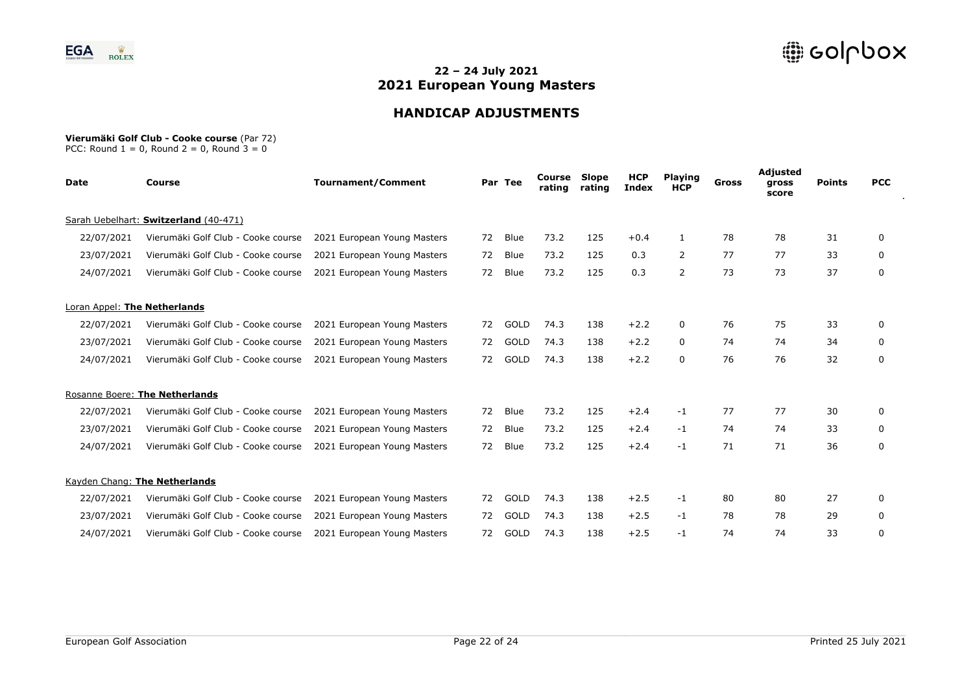

# **HANDICAP ADJUSTMENTS**

#### **Vierumäki Golf Club - Cooke course** (Par 72)

| <b>Date</b>                  | <b>Course</b>                         | <b>Tournament/Comment</b>   |    | Par Tee     | Course<br>rating | Slope<br>rating | <b>HCP</b><br><b>Index</b> | <b>Playing</b><br><b>HCP</b> | Gross | Adjusted<br>gross<br>score | <b>Points</b> | <b>PCC</b> |
|------------------------------|---------------------------------------|-----------------------------|----|-------------|------------------|-----------------|----------------------------|------------------------------|-------|----------------------------|---------------|------------|
|                              | Sarah Uebelhart: Switzerland (40-471) |                             |    |             |                  |                 |                            |                              |       |                            |               |            |
| 22/07/2021                   | Vierumäki Golf Club - Cooke course    | 2021 European Young Masters | 72 | Blue        | 73.2             | 125             | $+0.4$                     | 1                            | 78    | 78                         | 31            | 0          |
| 23/07/2021                   | Vierumäki Golf Club - Cooke course    | 2021 European Young Masters | 72 | Blue        | 73.2             | 125             | 0.3                        | $\overline{2}$               | 77    | 77                         | 33            | 0          |
| 24/07/2021                   | Vierumäki Golf Club - Cooke course    | 2021 European Young Masters | 72 | Blue        | 73.2             | 125             | 0.3                        | $\overline{2}$               | 73    | 73                         | 37            | 0          |
| Loran Appel: The Netherlands |                                       |                             |    |             |                  |                 |                            |                              |       |                            |               |            |
| 22/07/2021                   | Vierumäki Golf Club - Cooke course    | 2021 European Young Masters | 72 | <b>GOLD</b> | 74.3             | 138             | $+2.2$                     | 0                            | 76    | 75                         | 33            | 0          |
| 23/07/2021                   | Vierumäki Golf Club - Cooke course    | 2021 European Young Masters | 72 | <b>GOLD</b> | 74.3             | 138             | $+2.2$                     | 0                            | 74    | 74                         | 34            | 0          |
| 24/07/2021                   | Vierumäki Golf Club - Cooke course    | 2021 European Young Masters | 72 | <b>GOLD</b> | 74.3             | 138             | $+2.2$                     | 0                            | 76    | 76                         | 32            | 0          |
|                              | Rosanne Boere: The Netherlands        |                             |    |             |                  |                 |                            |                              |       |                            |               |            |
| 22/07/2021                   | Vierumäki Golf Club - Cooke course    | 2021 European Young Masters | 72 | Blue        | 73.2             | 125             | $+2.4$                     | $-1$                         | 77    | 77                         | 30            | 0          |
| 23/07/2021                   | Vierumäki Golf Club - Cooke course    | 2021 European Young Masters | 72 | Blue        | 73.2             | 125             | $+2.4$                     | $-1$                         | 74    | 74                         | 33            | 0          |
| 24/07/2021                   | Vierumäki Golf Club - Cooke course    | 2021 European Young Masters | 72 | Blue        | 73.2             | 125             | $+2.4$                     | $-1$                         | 71    | 71                         | 36            | 0          |
|                              | Kayden Chang: The Netherlands         |                             |    |             |                  |                 |                            |                              |       |                            |               |            |
| 22/07/2021                   | Vierumäki Golf Club - Cooke course    | 2021 European Young Masters | 72 | GOLD        | 74.3             | 138             | $+2.5$                     | -1                           | 80    | 80                         | 27            | 0          |
| 23/07/2021                   | Vierumäki Golf Club - Cooke course    | 2021 European Young Masters | 72 | GOLD        | 74.3             | 138             | $+2.5$                     | $-1$                         | 78    | 78                         | 29            | 0          |
| 24/07/2021                   | Vierumäki Golf Club - Cooke course    | 2021 European Young Masters | 72 | GOLD        | 74.3             | 138             | $+2.5$                     | -1                           | 74    | 74                         | 33            | 0          |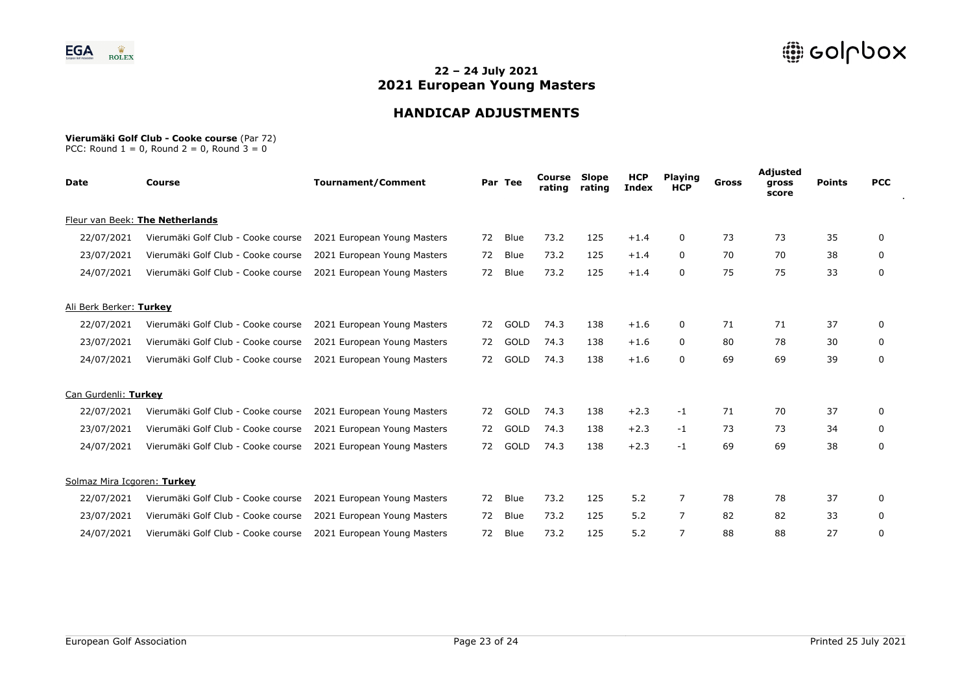

# **HANDICAP ADJUSTMENTS**

#### **Vierumäki Golf Club - Cooke course** (Par 72)

| Date                        | <b>Course</b>                      | <b>Tournament/Comment</b>   |    | Par Tee     | Course<br>rating | Slope<br>rating | <b>HCP</b><br><b>Index</b> | <b>Playing</b><br><b>HCP</b> | Gross | Adjusted<br>gross<br>score | <b>Points</b> | <b>PCC</b> |
|-----------------------------|------------------------------------|-----------------------------|----|-------------|------------------|-----------------|----------------------------|------------------------------|-------|----------------------------|---------------|------------|
|                             | Fleur van Beek: The Netherlands    |                             |    |             |                  |                 |                            |                              |       |                            |               |            |
| 22/07/2021                  | Vierumäki Golf Club - Cooke course | 2021 European Young Masters | 72 | Blue        | 73.2             | 125             | $+1.4$                     | 0                            | 73    | 73                         | 35            | 0          |
| 23/07/2021                  | Vierumäki Golf Club - Cooke course | 2021 European Young Masters | 72 | Blue        | 73.2             | 125             | $+1.4$                     | 0                            | 70    | 70                         | 38            | 0          |
| 24/07/2021                  | Vierumäki Golf Club - Cooke course | 2021 European Young Masters | 72 | Blue        | 73.2             | 125             | $+1.4$                     | 0                            | 75    | 75                         | 33            | 0          |
| Ali Berk Berker: Turkey     |                                    |                             |    |             |                  |                 |                            |                              |       |                            |               |            |
| 22/07/2021                  | Vierumäki Golf Club - Cooke course | 2021 European Young Masters | 72 | GOLD        | 74.3             | 138             | $+1.6$                     | 0                            | 71    | 71                         | 37            | 0          |
| 23/07/2021                  | Vierumäki Golf Club - Cooke course | 2021 European Young Masters | 72 | GOLD        | 74.3             | 138             | $+1.6$                     | 0                            | 80    | 78                         | 30            | 0          |
| 24/07/2021                  | Vierumäki Golf Club - Cooke course | 2021 European Young Masters | 72 | GOLD        | 74.3             | 138             | $+1.6$                     | 0                            | 69    | 69                         | 39            | 0          |
| Can Gurdenli: Turkey        |                                    |                             |    |             |                  |                 |                            |                              |       |                            |               |            |
| 22/07/2021                  | Vierumäki Golf Club - Cooke course | 2021 European Young Masters | 72 | GOLD        | 74.3             | 138             | $+2.3$                     | $-1$                         | 71    | 70                         | 37            | 0          |
| 23/07/2021                  | Vierumäki Golf Club - Cooke course | 2021 European Young Masters | 72 | GOLD        | 74.3             | 138             | $+2.3$                     | $-1$                         | 73    | 73                         | 34            | 0          |
| 24/07/2021                  | Vierumäki Golf Club - Cooke course | 2021 European Young Masters | 72 | GOLD        | 74.3             | 138             | $+2.3$                     | $-1$                         | 69    | 69                         | 38            | 0          |
| Solmaz Mira Icgoren: Turkey |                                    |                             |    |             |                  |                 |                            |                              |       |                            |               |            |
| 22/07/2021                  | Vierumäki Golf Club - Cooke course | 2021 European Young Masters | 72 | <b>Blue</b> | 73.2             | 125             | 5.2                        | $\overline{7}$               | 78    | 78                         | 37            | 0          |
| 23/07/2021                  | Vierumäki Golf Club - Cooke course | 2021 European Young Masters | 72 | Blue        | 73.2             | 125             | 5.2                        | 7                            | 82    | 82                         | 33            | 0          |
| 24/07/2021                  | Vierumäki Golf Club - Cooke course | 2021 European Young Masters | 72 | Blue        | 73.2             | 125             | 5.2                        | 7                            | 88    | 88                         | 27            | 0          |